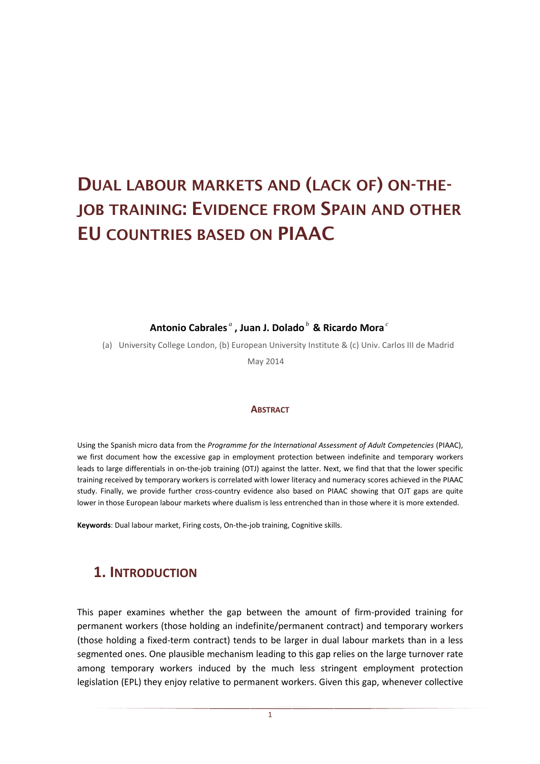# **DUAL LABOUR MARKETS AND (LACK OF) ON-THE-JOB TRAINING: EVIDENCE FROM SPAIN AND OTHER EU COUNTRIES BASED ON PIAAC**

**Antonio Cabrales** *<sup>a</sup>* **, Juan J. Dolado***<sup>b</sup>*  **& Ricardo Mora** *<sup>c</sup>*

(a) University College London, (b) European University Institute & (c) Univ. Carlos III de Madrid

May 2014

#### **ABSTRACT**

Using the Spanish micro data from the *Programme for the International Assessment of Adult Competencies* (PIAAC), we first document how the excessive gap in employment protection between indefinite and temporary workers leads to large differentials in on-the-job training (OTJ) against the latter. Next, we find that that the lower specific training received by temporary workers is correlated with lower literacy and numeracy scores achieved in the PIAAC study. Finally, we provide further cross-country evidence also based on PIAAC showing that OJT gaps are quite lower in those European labour markets where dualism is less entrenched than in those where it is more extended.

**Keywords**: Dual labour market, Firing costs, On-the-job training, Cognitive skills.

## **1. INTRODUCTION**

This paper examines whether the gap between the amount of firm-provided training for permanent workers (those holding an indefinite/permanent contract) and temporary workers (those holding a fixed-term contract) tends to be larger in dual labour markets than in a less segmented ones. One plausible mechanism leading to this gap relies on the large turnover rate among temporary workers induced by the much less stringent employment protection legislation (EPL) they enjoy relative to permanent workers. Given this gap, whenever collective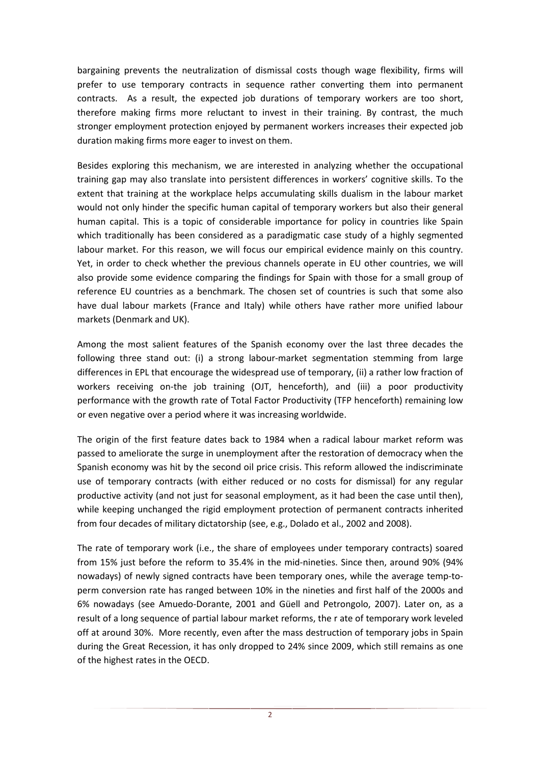bargaining prevents the neutralization of dismissal costs though wage flexibility, firms will prefer to use temporary contracts in sequence rather converting them into permanent contracts. As a result, the expected job durations of temporary workers are too short, therefore making firms more reluctant to invest in their training. By contrast, the much stronger employment protection enjoyed by permanent workers increases their expected job duration making firms more eager to invest on them.

Besides exploring this mechanism, we are interested in analyzing whether the occupational training gap may also translate into persistent differences in workers' cognitive skills. To the extent that training at the workplace helps accumulating skills dualism in the labour market would not only hinder the specific human capital of temporary workers but also their general human capital. This is a topic of considerable importance for policy in countries like Spain which traditionally has been considered as a paradigmatic case study of a highly segmented labour market. For this reason, we will focus our empirical evidence mainly on this country. Yet, in order to check whether the previous channels operate in EU other countries, we will also provide some evidence comparing the findings for Spain with those for a small group of reference EU countries as a benchmark. The chosen set of countries is such that some also have dual labour markets (France and Italy) while others have rather more unified labour markets (Denmark and UK).

Among the most salient features of the Spanish economy over the last three decades the following three stand out: (i) a strong labour-market segmentation stemming from large differences in EPL that encourage the widespread use of temporary, (ii) a rather low fraction of workers receiving on-the job training (OJT, henceforth), and (iii) a poor productivity performance with the growth rate of Total Factor Productivity (TFP henceforth) remaining low or even negative over a period where it was increasing worldwide.

The origin of the first feature dates back to 1984 when a radical labour market reform was passed to ameliorate the surge in unemployment after the restoration of democracy when the Spanish economy was hit by the second oil price crisis. This reform allowed the indiscriminate use of temporary contracts (with either reduced or no costs for dismissal) for any regular productive activity (and not just for seasonal employment, as it had been the case until then), while keeping unchanged the rigid employment protection of permanent contracts inherited from four decades of military dictatorship (see, e.g., Dolado et al., 2002 and 2008).

The rate of temporary work (i.e., the share of employees under temporary contracts) soared from 15% just before the reform to 35.4% in the mid-nineties. Since then, around 90% (94% nowadays) of newly signed contracts have been temporary ones, while the average temp-toperm conversion rate has ranged between 10% in the nineties and first half of the 2000s and 6% nowadays (see Amuedo-Dorante, 2001 and Güell and Petrongolo, 2007). Later on, as a result of a long sequence of partial labour market reforms, the r ate of temporary work leveled off at around 30%. More recently, even after the mass destruction of temporary jobs in Spain during the Great Recession, it has only dropped to 24% since 2009, which still remains as one of the highest rates in the OECD.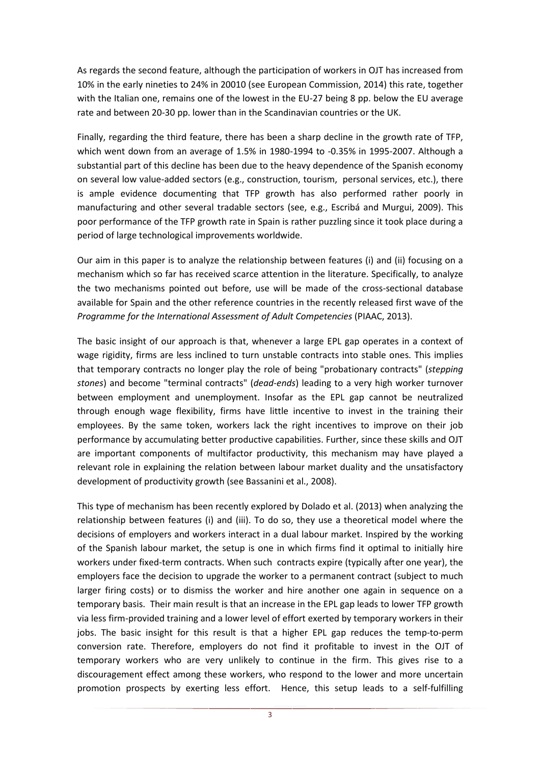As regards the second feature, although the participation of workers in OJT has increased from 10% in the early nineties to 24% in 20010 (see European Commission, 2014) this rate, together with the Italian one, remains one of the lowest in the EU-27 being 8 pp. below the EU average rate and between 20-30 pp. lower than in the Scandinavian countries or the UK.

Finally, regarding the third feature, there has been a sharp decline in the growth rate of TFP, which went down from an average of 1.5% in 1980-1994 to -0.35% in 1995-2007. Although a substantial part of this decline has been due to the heavy dependence of the Spanish economy on several low value-added sectors (e.g., construction, tourism, personal services, etc.), there is ample evidence documenting that TFP growth has also performed rather poorly in manufacturing and other several tradable sectors (see, e.g., Escribá and Murgui, 2009). This poor performance of the TFP growth rate in Spain is rather puzzling since it took place during a period of large technological improvements worldwide.

Our aim in this paper is to analyze the relationship between features (i) and (ii) focusing on a mechanism which so far has received scarce attention in the literature. Specifically, to analyze the two mechanisms pointed out before, use will be made of the cross-sectional database available for Spain and the other reference countries in the recently released first wave of the *Programme for the International Assessment of Adult Competencies* (PIAAC, 2013).

The basic insight of our approach is that, whenever a large EPL gap operates in a context of wage rigidity, firms are less inclined to turn unstable contracts into stable ones. This implies that temporary contracts no longer play the role of being "probationary contracts" (*stepping stones*) and become "terminal contracts" (*dead-ends*) leading to a very high worker turnover between employment and unemployment. Insofar as the EPL gap cannot be neutralized through enough wage flexibility, firms have little incentive to invest in the training their employees. By the same token, workers lack the right incentives to improve on their job performance by accumulating better productive capabilities. Further, since these skills and OJT are important components of multifactor productivity, this mechanism may have played a relevant role in explaining the relation between labour market duality and the unsatisfactory development of productivity growth (see Bassanini et al., 2008).

This type of mechanism has been recently explored by Dolado et al. (2013) when analyzing the relationship between features (i) and (iii). To do so, they use a theoretical model where the decisions of employers and workers interact in a dual labour market. Inspired by the working of the Spanish labour market, the setup is one in which firms find it optimal to initially hire workers under fixed-term contracts. When such contracts expire (typically after one year), the employers face the decision to upgrade the worker to a permanent contract (subject to much larger firing costs) or to dismiss the worker and hire another one again in sequence on a temporary basis. Their main result is that an increase in the EPL gap leads to lower TFP growth via less firm-provided training and a lower level of effort exerted by temporary workers in their jobs. The basic insight for this result is that a higher EPL gap reduces the temp-to-perm conversion rate. Therefore, employers do not find it profitable to invest in the OJT of temporary workers who are very unlikely to continue in the firm. This gives rise to a discouragement effect among these workers, who respond to the lower and more uncertain promotion prospects by exerting less effort. Hence, this setup leads to a self-fulfilling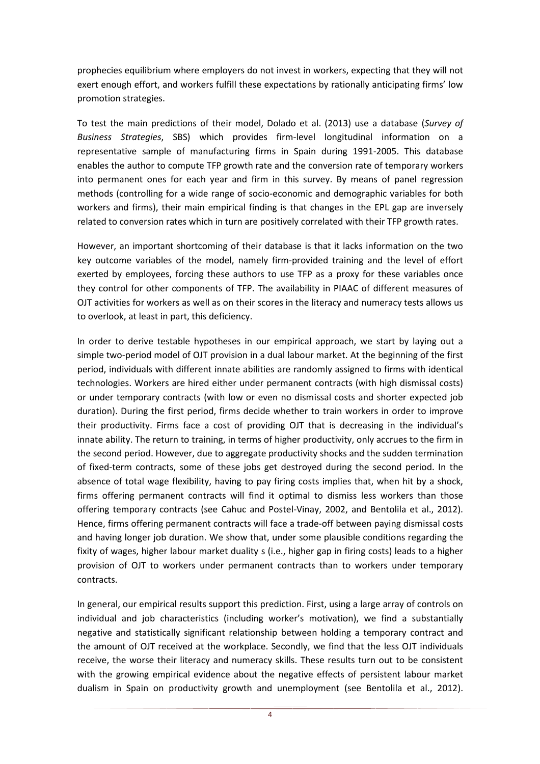prophecies equilibrium where employers do not invest in workers, expecting that they will not exert enough effort, and workers fulfill these expectations by rationally anticipating firms' low promotion strategies.

To test the main predictions of their model, Dolado et al. (2013) use a database (*Survey of Business Strategies*, SBS) which provides firm-level longitudinal information on a representative sample of manufacturing firms in Spain during 1991-2005. This database enables the author to compute TFP growth rate and the conversion rate of temporary workers into permanent ones for each year and firm in this survey. By means of panel regression methods (controlling for a wide range of socio-economic and demographic variables for both workers and firms), their main empirical finding is that changes in the EPL gap are inversely related to conversion rates which in turn are positively correlated with their TFP growth rates.

However, an important shortcoming of their database is that it lacks information on the two key outcome variables of the model, namely firm-provided training and the level of effort exerted by employees, forcing these authors to use TFP as a proxy for these variables once they control for other components of TFP. The availability in PIAAC of different measures of OJT activities for workers as well as on their scores in the literacy and numeracy tests allows us to overlook, at least in part, this deficiency.

In order to derive testable hypotheses in our empirical approach, we start by laying out a simple two-period model of OJT provision in a dual labour market. At the beginning of the first period, individuals with different innate abilities are randomly assigned to firms with identical technologies. Workers are hired either under permanent contracts (with high dismissal costs) or under temporary contracts (with low or even no dismissal costs and shorter expected job duration). During the first period, firms decide whether to train workers in order to improve their productivity. Firms face a cost of providing OJT that is decreasing in the individual's innate ability. The return to training, in terms of higher productivity, only accrues to the firm in the second period. However, due to aggregate productivity shocks and the sudden termination of fixed-term contracts, some of these jobs get destroyed during the second period. In the absence of total wage flexibility, having to pay firing costs implies that, when hit by a shock, firms offering permanent contracts will find it optimal to dismiss less workers than those offering temporary contracts (see Cahuc and Postel-Vinay, 2002, and Bentolila et al., 2012). Hence, firms offering permanent contracts will face a trade-off between paying dismissal costs and having longer job duration. We show that, under some plausible conditions regarding the fixity of wages, higher labour market duality s (i.e., higher gap in firing costs) leads to a higher provision of OJT to workers under permanent contracts than to workers under temporary contracts.

In general, our empirical results support this prediction. First, using a large array of controls on individual and job characteristics (including worker's motivation), we find a substantially negative and statistically significant relationship between holding a temporary contract and the amount of OJT received at the workplace. Secondly, we find that the less OJT individuals receive, the worse their literacy and numeracy skills. These results turn out to be consistent with the growing empirical evidence about the negative effects of persistent labour market dualism in Spain on productivity growth and unemployment (see Bentolila et al., 2012).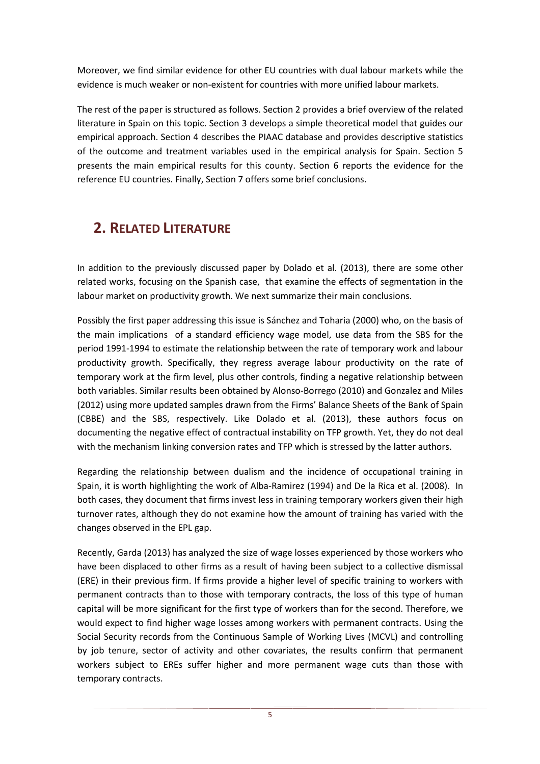Moreover, we find similar evidence for other EU countries with dual labour markets while the evidence is much weaker or non-existent for countries with more unified labour markets.

The rest of the paper is structured as follows. Section 2 provides a brief overview of the related literature in Spain on this topic. Section 3 develops a simple theoretical model that guides our empirical approach. Section 4 describes the PIAAC database and provides descriptive statistics of the outcome and treatment variables used in the empirical analysis for Spain. Section 5 presents the main empirical results for this county. Section 6 reports the evidence for the reference EU countries. Finally, Section 7 offers some brief conclusions.

## **2. RELATED LITERATURE**

In addition to the previously discussed paper by Dolado et al. (2013), there are some other related works, focusing on the Spanish case, that examine the effects of segmentation in the labour market on productivity growth. We next summarize their main conclusions.

Possibly the first paper addressing this issue is Sánchez and Toharia (2000) who, on the basis of the main implications of a standard efficiency wage model, use data from the SBS for the period 1991-1994 to estimate the relationship between the rate of temporary work and labour productivity growth. Specifically, they regress average labour productivity on the rate of temporary work at the firm level, plus other controls, finding a negative relationship between both variables. Similar results been obtained by Alonso-Borrego (2010) and Gonzalez and Miles (2012) using more updated samples drawn from the Firms' Balance Sheets of the Bank of Spain (CBBE) and the SBS, respectively. Like Dolado et al. (2013), these authors focus on documenting the negative effect of contractual instability on TFP growth. Yet, they do not deal with the mechanism linking conversion rates and TFP which is stressed by the latter authors.

Regarding the relationship between dualism and the incidence of occupational training in Spain, it is worth highlighting the work of Alba-Ramirez (1994) and De la Rica et al. (2008). In both cases, they document that firms invest less in training temporary workers given their high turnover rates, although they do not examine how the amount of training has varied with the changes observed in the EPL gap.

Recently, Garda (2013) has analyzed the size of wage losses experienced by those workers who have been displaced to other firms as a result of having been subject to a collective dismissal (ERE) in their previous firm. If firms provide a higher level of specific training to workers with permanent contracts than to those with temporary contracts, the loss of this type of human capital will be more significant for the first type of workers than for the second. Therefore, we would expect to find higher wage losses among workers with permanent contracts. Using the Social Security records from the Continuous Sample of Working Lives (MCVL) and controlling by job tenure, sector of activity and other covariates, the results confirm that permanent workers subject to EREs suffer higher and more permanent wage cuts than those with temporary contracts.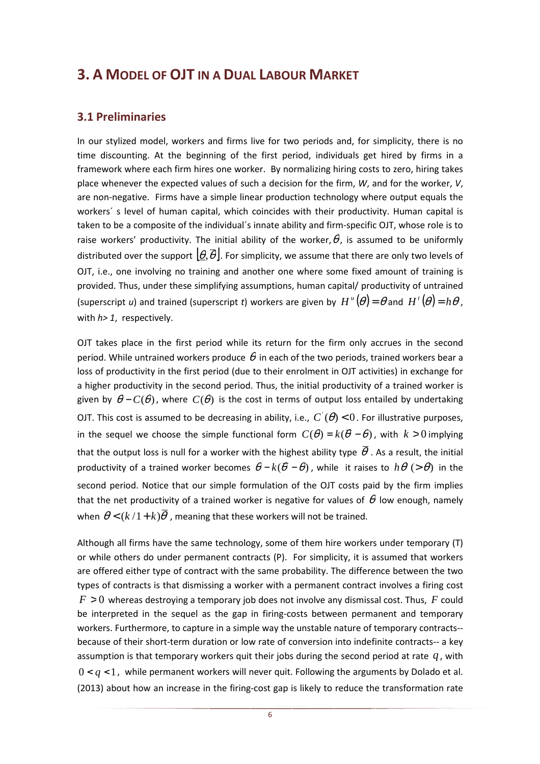## **3. A MODEL OF OJT IN A DUAL LABOUR MARKET**

### **3.1 Preliminaries**

In our stylized model, workers and firms live for two periods and, for simplicity, there is no time discounting. At the beginning of the first period, individuals get hired by firms in a framework where each firm hires one worker. By normalizing hiring costs to zero, hiring takes place whenever the expected values of such a decision for the firm, *W*, and for the worker, *V*, are non-negative. Firms have a simple linear production technology where output equals the workers´ s level of human capital, which coincides with their productivity. Human capital is taken to be a composite of the individual´s innate ability and firm-specific OJT, whose role is to raise workers' productivity. The initial ability of the worker,  $\theta$ , is assumed to be uniformly distributed over the support  $|\theta,\overline{\theta}|$ . For simplicity, we assume that there are only two levels of OJT, i.e., one involving no training and another one where some fixed amount of training is provided. Thus, under these simplifying assumptions, human capital/ productivity of untrained (superscript *u*) and trained (superscript *t*) workers are given by  $H^{\mu}(\theta) = \theta$  and  $H^{\mu}(\theta) = h\theta$ , with *h> 1*, respectively.

OJT takes place in the first period while its return for the firm only accrues in the second period. While untrained workers produce  $\theta$  in each of the two periods, trained workers bear a loss of productivity in the first period (due to their enrolment in OJT activities) in exchange for a higher productivity in the second period. Thus, the initial productivity of a trained worker is given by  $\theta - C(\theta)$ , where  $C(\theta)$  is the cost in terms of output loss entailed by undertaking OJT. This cost is assumed to be decreasing in ability, i.e.,  $C^{'}(\theta)$  < 0. For illustrative purposes, in the sequel we choose the simple functional form  $C(\theta) = k(\overline{\theta} - \theta)$ , with  $k > 0$  implying that the output loss is null for a worker with the highest ability type  $\bar{\theta}$  . As a result, the initial productivity of a trained worker becomes  $\theta - k(\bar{\theta} - \theta)$ , while it raises to  $h\theta$  (>  $\theta$ ) in the second period. Notice that our simple formulation of the OJT costs paid by the firm implies that the net productivity of a trained worker is negative for values of  $\theta$  low enough, namely when  $\theta < (k/1 + k)\overline{\theta}$ , meaning that these workers will not be trained.

Although all firms have the same technology, some of them hire workers under temporary (T) or while others do under permanent contracts (P). For simplicity, it is assumed that workers are offered either type of contract with the same probability. The difference between the two types of contracts is that dismissing a worker with a permanent contract involves a firing cost *F* > 0 whereas destroying a temporary job does not involve any dismissal cost. Thus, *F* could be interpreted in the sequel as the gap in firing-costs between permanent and temporary workers. Furthermore, to capture in a simple way the unstable nature of temporary contracts- because of their short-term duration or low rate of conversion into indefinite contracts-- a key assumption is that temporary workers quit their jobs during the second period at rate *q* , with  $0 < q < 1$ , while permanent workers will never quit. Following the arguments by Dolado et al. (2013) about how an increase in the firing-cost gap is likely to reduce the transformation rate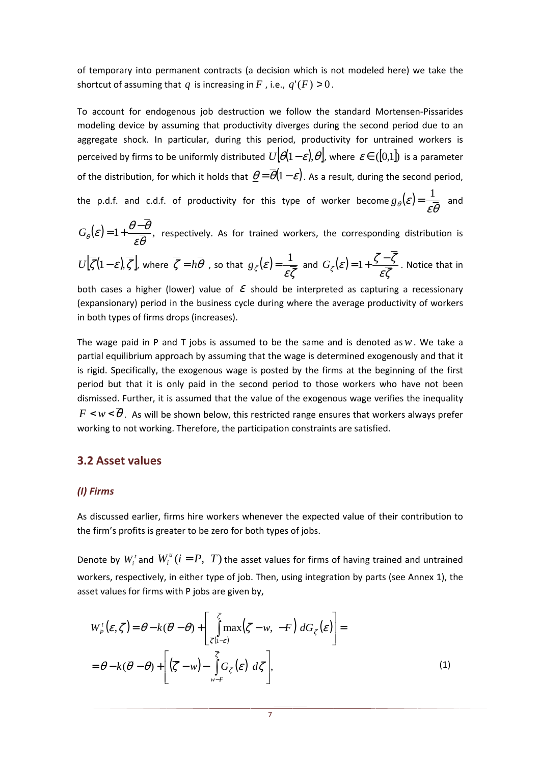of temporary into permanent contracts (a decision which is not modeled here) we take the shortcut of assuming that *q* is increasing in *F*, i.e.,  $q'(F) > 0$ .

To account for endogenous job destruction we follow the standard Mortensen-Pissarides modeling device by assuming that productivity diverges during the second period due to an aggregate shock. In particular, during this period, productivity for untrained workers is perceived by firms to be uniformly distributed  $U[\overline{\theta}(1-\varepsilon),\overline{\theta}]$ , where  $\varepsilon \in (0,1]$  is a parameter of the distribution, for which it holds that  $\theta = \overline{\theta}(1-\varepsilon)$ . As a result, during the second period, the p.d.f. and c.d.f. of productivity for this type of worker become  $g_{\theta}(\mathcal{E}) = \frac{1}{\mathcal{E} \overline{\theta}}$  and

 $(\varepsilon) = 1 + \frac{\theta - \theta}{\varepsilon \overline{\theta}},$  $\theta-\theta$  $G_{\theta}(\varepsilon)$  = 1 +  $\frac{\theta-\theta}{\sqrt{2}}$ , respectively. As for trained workers, the corresponding distribution is

$$
U\left[\overline{\zeta}(1-\varepsilon),\overline{\zeta}\right], \text{ where } \overline{\zeta} = h\overline{\theta} \text{ , so that } g_{\zeta}(\varepsilon) = \frac{1}{\varepsilon \overline{\zeta}} \text{ and } G_{\zeta}(\varepsilon) = 1 + \frac{\zeta - \zeta}{\varepsilon \overline{\zeta}}. \text{ Notice that in}
$$

both cases a higher (lower) value of  $\mathcal E$  should be interpreted as capturing a recessionary (expansionary) period in the business cycle during where the average productivity of workers in both types of firms drops (increases).

The wage paid in P and T jobs is assumed to be the same and is denoted as*w*. We take a partial equilibrium approach by assuming that the wage is determined exogenously and that it is rigid. Specifically, the exogenous wage is posted by the firms at the beginning of the first period but that it is only paid in the second period to those workers who have not been dismissed. Further, it is assumed that the value of the exogenous wage verifies the inequality  $F \leq w \leq \overline{\theta}$ . As will be shown below, this restricted range ensures that workers always prefer working to not working. Therefore, the participation constraints are satisfied.

### **3.2 Asset values**

### *(I) Firms*

As discussed earlier, firms hire workers whenever the expected value of their contribution to the firm's profits is greater to be zero for both types of jobs.

Denote by  $W_i^i$  and  $W_i^u$  ( $i = P, T$ ) the asset values for firms of having trained and untrained workers, respectively, in either type of job. Then, using integration by parts (see Annex 1), the asset values for firms with P jobs are given by,

$$
W_P^{\dagger}(\varepsilon, \zeta) = \theta - k(\overline{\theta} - \theta) + \left[ \int_{\overline{\zeta}(1-\varepsilon)}^{\overline{\zeta}} \max(\zeta - w, -F) \, dG_{\zeta}(\varepsilon) \right] =
$$
  
=  $\theta - k(\overline{\theta} - \theta) + \left[ (\overline{\zeta} - w) - \int_{w-F}^{\overline{\zeta}} G_{\zeta}(\varepsilon) \, d\zeta \right],$  (1)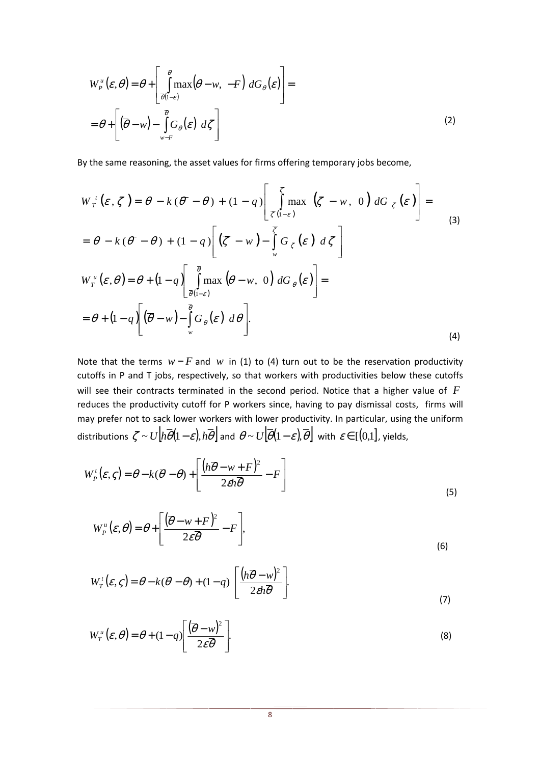$$
W_{P}^{u}(\varepsilon, \theta) = \theta + \left[ \int_{\overline{\theta}(1-\varepsilon)}^{\overline{\theta}} \max(\theta - w, -F) dG_{\theta}(\varepsilon) \right] =
$$
  
=  $\theta + \left[ (\overline{\theta} - w) - \int_{w-F}^{\overline{\theta}} G_{\theta}(\varepsilon) d\zeta \right]$  (2)

By the same reasoning, the asset values for firms offering temporary jobs become,

$$
W_{T}^{i}(\varepsilon, \zeta) = \theta - k(\overline{\theta} - \theta) + (1 - q) \left[ \int_{\overline{\zeta}(1-\varepsilon)}^{\overline{\zeta}} \max\left(\zeta - w, 0\right) dG_{\zeta}(\varepsilon) \right] =
$$
  
\n
$$
= \theta - k(\overline{\theta} - \theta) + (1 - q) \left[ (\overline{\zeta} - w) - \int_{w}^{\overline{\zeta}} G_{\zeta}(\varepsilon) d\zeta \right]
$$
  
\n
$$
W_{T}^{u}(\varepsilon, \theta) = \theta + (1 - q) \left[ \int_{\overline{\theta}(1-\varepsilon)}^{\overline{\theta}} \max\left(\theta - w, 0\right) dG_{\theta}(\varepsilon) \right] =
$$
  
\n
$$
= \theta + (1 - q) \left[ (\overline{\theta} - w) - \int_{w}^{\overline{\theta}} G_{\theta}(\varepsilon) d\theta \right].
$$
  
\n(4)

Note that the terms  $w - F$  and  $w$  in (1) to (4) turn out to be the reservation productivity cutoffs in P and T jobs, respectively, so that workers with productivities below these cutoffs will see their contracts terminated in the second period. Notice that a higher value of *F* reduces the productivity cutoff for P workers since, having to pay dismissal costs, firms will may prefer not to sack lower workers with lower productivity. In particular, using the uniform distributions  $\zeta \sim U[h\theta(1-\varepsilon), h\theta]$  and  $\theta \sim U[\theta(1-\varepsilon), \theta]$  with  $\varepsilon \in [(0,1],$  yields,

$$
W_p^{\dagger}(\varepsilon, \zeta) = \theta - k(\overline{\theta} - \theta) + \left[ \frac{(h\overline{\theta} - w + F)^2}{2\epsilon h \overline{\theta}} - F \right]
$$
\n(5)

$$
W_{P}^{u}(\varepsilon,\theta) = \theta + \left[\frac{(\overline{\theta} - w + F)^{2}}{2\varepsilon\overline{\theta}} - F\right],
$$
\n(6)

$$
W_T^{\dagger}(\varepsilon, \varsigma) = \theta - k(\overline{\theta} - \theta) + (1 - q) \left[ \frac{\left( h\overline{\theta} - w \right)^2}{2\epsilon h \overline{\theta}} \right].
$$
\n(7)

$$
W_T^u(\varepsilon,\theta) = \theta + (1-q) \left[ \frac{(\overline{\theta} - w)^2}{2\varepsilon \overline{\theta}} \right].
$$
 (8)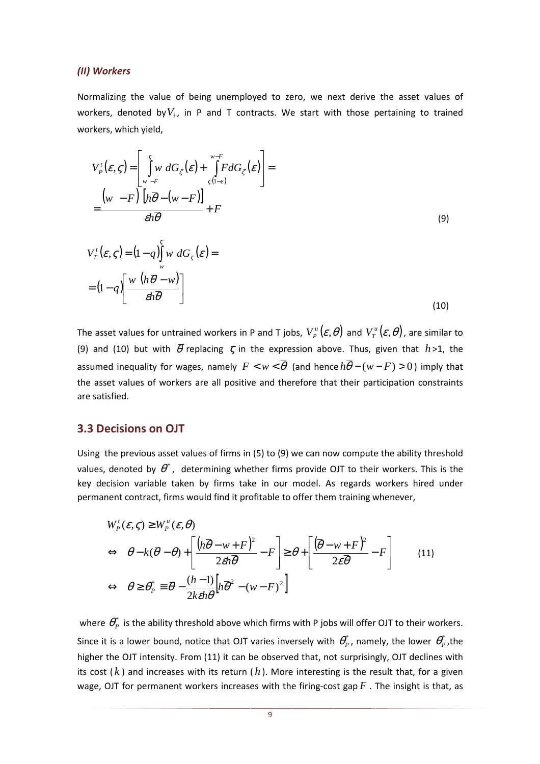#### *(II) Workers*

Normalizing the value of being unemployed to zero, we next derive the asset values of workers, denoted by $V_i$ , in P and T contracts. We start with those pertaining to trained workers, which yield,

$$
V_P^t(\varepsilon, \zeta) = \left[ \int_{w-F}^{\overline{\zeta}} w \, dG_{\zeta}(\varepsilon) + \int_{\overline{\zeta}(1-\varepsilon)}^{w-F} F dG_{\zeta}(\varepsilon) \right] =
$$
  
\n
$$
= \frac{(w-F) \left[ h\overline{\theta} - (w-F) \right]}{\varepsilon h \overline{\theta}} + F
$$
  
\n
$$
V_T^t(\varepsilon, \zeta) = (1-q) \int_{w}^{\overline{\zeta}} w \, dG_{\zeta}(\varepsilon) =
$$
  
\n
$$
= (1-q) \left[ \frac{w \left( h\overline{\theta} - w \right)}{\varepsilon h \overline{\theta}} \right]
$$
  
\n(10)

The asset values for untrained workers in P and T jobs,  $V^u_p(\mathcal{E}, \theta)$  and  $V^u_T(\mathcal{E}, \theta)$ , are similar to (9) and (10) but with  $\bar{\theta}$  replacing  $\bar{\zeta}$  in the expression above. Thus, given that  $h > 1$ , the assumed inequality for wages, namely  $F \leq w \leq \overline{\theta}$  (and hence  $h\overline{\theta} - (w-F) > 0$ ) imply that the asset values of workers are all positive and therefore that their participation constraints are satisfied.

### **3.3 Decisions on OJT**

Using the previous asset values of firms in (5) to (9) we can now compute the ability threshold values, denoted by  $\theta^*$ , determining whether firms provide OJT to their workers. This is the key decision variable taken by firms take in our model. As regards workers hired under permanent contract, firms would find it profitable to offer them training whenever,

$$
W_p^t(\varepsilon, \varsigma) \ge W_p^u(\varepsilon, \theta)
$$
  
\n
$$
\Leftrightarrow \theta - k(\overline{\theta} - \theta) + \left[ \frac{(h\overline{\theta} - w + F)^2}{2\epsilon h \overline{\theta}} - F \right] \ge \theta + \left[ \frac{(\overline{\theta} - w + F)^2}{2\epsilon \overline{\theta}} - F \right]
$$
(11)  
\n
$$
\Leftrightarrow \theta \ge \theta_p^* \equiv \overline{\theta} - \frac{(h-1)}{2k\epsilon h \overline{\theta}} \left[ h\overline{\theta}^2 - (w - F)^2 \right]
$$

where  $\theta_P^*$  is the ability threshold above which firms with P jobs will offer OJT to their workers. Since it is a lower bound, notice that OJT varies inversely with  $\theta_P^*$ , namely, the lower  $\theta_P^*$ , the higher the OJT intensity. From (11) it can be observed that, not surprisingly, OJT declines with its cost  $(k)$  and increases with its return  $(h)$ . More interesting is the result that, for a given wage, OJT for permanent workers increases with the firing-cost gap *F* . The insight is that, as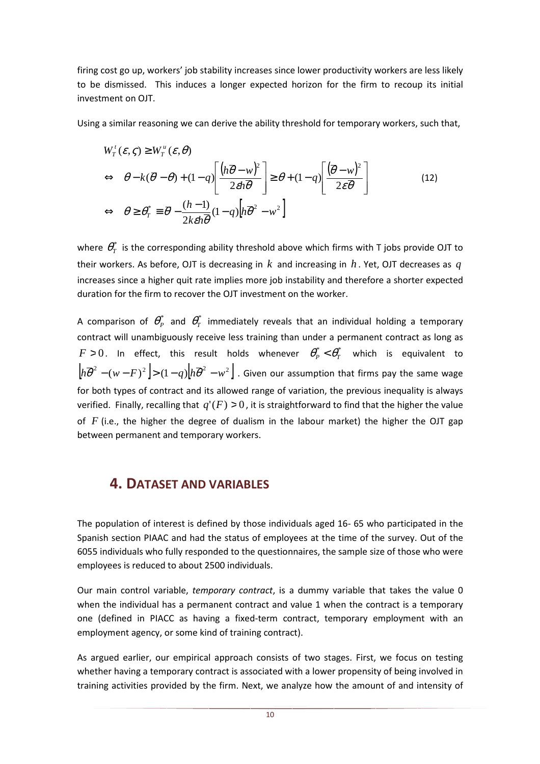firing cost go up, workers' job stability increases since lower productivity workers are less likely to be dismissed. This induces a longer expected horizon for the firm to recoup its initial investment on OJT.

Using a similar reasoning we can derive the ability threshold for temporary workers, such that,

$$
W_{T}^{t}(\varepsilon, \zeta) \ge W_{T}^{u}(\varepsilon, \theta)
$$
  
\n
$$
\Leftrightarrow \theta - k(\overline{\theta} - \theta) + (1 - q) \left[ \frac{(h\overline{\theta} - w)^{2}}{2\epsilon h \overline{\theta}} \right] \ge \theta + (1 - q) \left[ \frac{(\overline{\theta} - w)^{2}}{2\epsilon \overline{\theta}} \right]
$$
  
\n
$$
\Leftrightarrow \theta \ge \theta_{T}^{*} \equiv \overline{\theta} - \frac{(h-1)}{2k\epsilon h \overline{\theta}} (1 - q) \left[ h \overline{\theta}^{2} - w^{2} \right]
$$
\n(12)

where  $\theta_{\scriptscriptstyle T}^*$  is the corresponding ability threshold above which firms with T jobs provide OJT to their workers. As before, OJT is decreasing in *k* and increasing in *h* . Yet, OJT decreases as *q* increases since a higher quit rate implies more job instability and therefore a shorter expected duration for the firm to recover the OJT investment on the worker.

A comparison of  $\theta_P^*$  and  $\theta_T^*$  immediately reveals that an individual holding a temporary contract will unambiguously receive less training than under a permanent contract as long as  $F > 0$ . In effect, this result holds whenever  $\theta^*_P < \theta^*_T$  which is equivalent to  $\left| h\overline{\theta}^2-(w-F)^2 \right| > (1-q) \left| h\overline{\theta}^2-w^2 \right|$  . Given our assumption that firms pay the same wage for both types of contract and its allowed range of variation, the previous inequality is always verified. Finally, recalling that  $q'(F) > 0$ , it is straightforward to find that the higher the value of *F* (i.e., the higher the degree of dualism in the labour market) the higher the OJT gap between permanent and temporary workers.

### **4. DATASET AND VARIABLES**

The population of interest is defined by those individuals aged 16- 65 who participated in the Spanish section PIAAC and had the status of employees at the time of the survey. Out of the 6055 individuals who fully responded to the questionnaires, the sample size of those who were employees is reduced to about 2500 individuals.

Our main control variable, *temporary contract*, is a dummy variable that takes the value 0 when the individual has a permanent contract and value 1 when the contract is a temporary one (defined in PIACC as having a fixed-term contract, temporary employment with an employment agency, or some kind of training contract).

As argued earlier, our empirical approach consists of two stages. First, we focus on testing whether having a temporary contract is associated with a lower propensity of being involved in training activities provided by the firm. Next, we analyze how the amount of and intensity of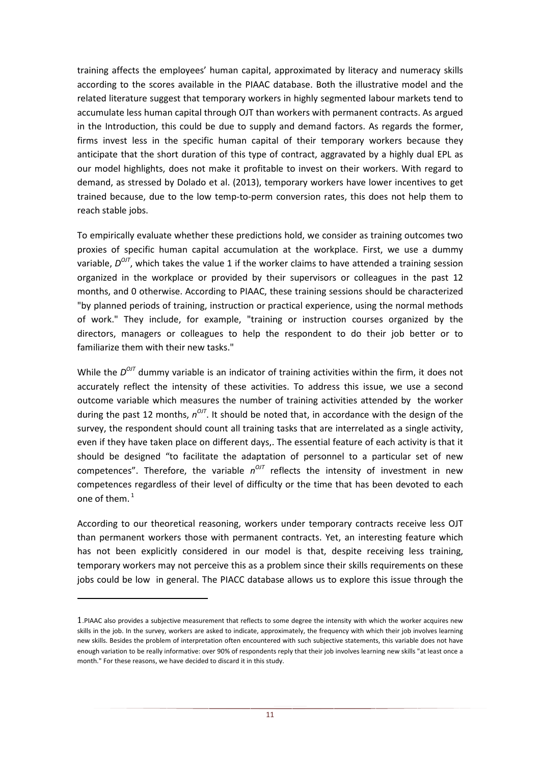training affects the employees' human capital, approximated by literacy and numeracy skills according to the scores available in the PIAAC database. Both the illustrative model and the related literature suggest that temporary workers in highly segmented labour markets tend to accumulate less human capital through OJT than workers with permanent contracts. As argued in the Introduction, this could be due to supply and demand factors. As regards the former, firms invest less in the specific human capital of their temporary workers because they anticipate that the short duration of this type of contract, aggravated by a highly dual EPL as our model highlights, does not make it profitable to invest on their workers. With regard to demand, as stressed by Dolado et al. (2013), temporary workers have lower incentives to get trained because, due to the low temp-to-perm conversion rates, this does not help them to reach stable jobs.

To empirically evaluate whether these predictions hold, we consider as training outcomes two proxies of specific human capital accumulation at the workplace. First, we use a dummy variable,  $D^{OJI}$ , which takes the value 1 if the worker claims to have attended a training session organized in the workplace or provided by their supervisors or colleagues in the past 12 months, and 0 otherwise. According to PIAAC, these training sessions should be characterized "by planned periods of training, instruction or practical experience, using the normal methods of work." They include, for example, "training or instruction courses organized by the directors, managers or colleagues to help the respondent to do their job better or to familiarize them with their new tasks."

While the  $D^{OJI}$  dummy variable is an indicator of training activities within the firm, it does not accurately reflect the intensity of these activities. To address this issue, we use a second outcome variable which measures the number of training activities attended by the worker during the past 12 months,  $n^{OJI}$ . It should be noted that, in accordance with the design of the survey, the respondent should count all training tasks that are interrelated as a single activity, even if they have taken place on different days,. The essential feature of each activity is that it should be designed "to facilitate the adaptation of personnel to a particular set of new competences". Therefore, the variable  $n^{O/T}$  reflects the intensity of investment in new competences regardless of their level of difficulty or the time that has been devoted to each one of them.<sup>1</sup>

According to our theoretical reasoning, workers under temporary contracts receive less OJT than permanent workers those with permanent contracts. Yet, an interesting feature which has not been explicitly considered in our model is that, despite receiving less training, temporary workers may not perceive this as a problem since their skills requirements on these jobs could be low in general. The PIACC database allows us to explore this issue through the

l

<sup>1</sup>.PIAAC also provides a subjective measurement that reflects to some degree the intensity with which the worker acquires new skills in the job. In the survey, workers are asked to indicate, approximately, the frequency with which their job involves learning new skills. Besides the problem of interpretation often encountered with such subjective statements, this variable does not have enough variation to be really informative: over 90% of respondents reply that their job involves learning new skills "at least once a month." For these reasons, we have decided to discard it in this study.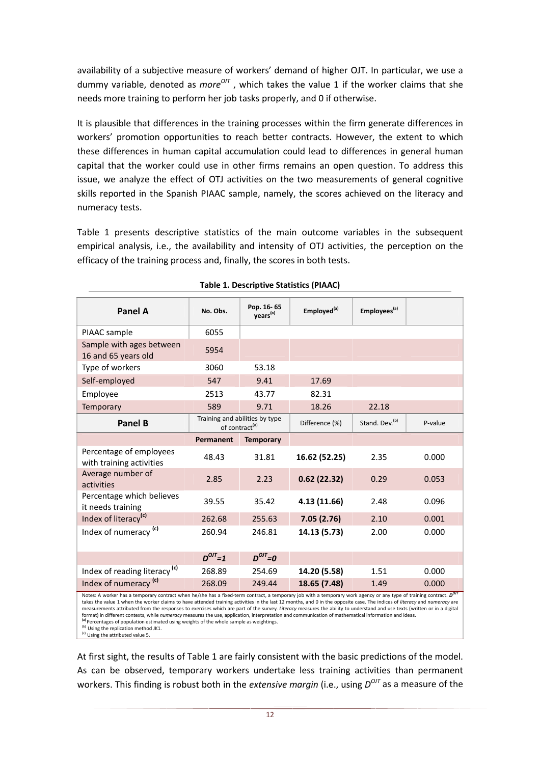availability of a subjective measure of workers' demand of higher OJT. In particular, we use a dummy variable, denoted as *more*<sup>017</sup>, which takes the value 1 if the worker claims that she needs more training to perform her job tasks properly, and 0 if otherwise.

It is plausible that differences in the training processes within the firm generate differences in workers' promotion opportunities to reach better contracts. However, the extent to which these differences in human capital accumulation could lead to differences in general human capital that the worker could use in other firms remains an open question. To address this issue, we analyze the effect of OTJ activities on the two measurements of general cognitive skills reported in the Spanish PIAAC sample, namely, the scores achieved on the literacy and numeracy tests.

Table 1 presents descriptive statistics of the main outcome variables in the subsequent empirical analysis, i.e., the availability and intensity of OTJ activities, the perception on the efficacy of the training process and, finally, the scores in both tests.

| <b>Panel A</b>                                      | No. Obs.    | Pop. 16-65<br>years <sup>(a)</sup>                           | Employed <sup>(a)</sup> | Employees <sup>(a)</sup>   |              |
|-----------------------------------------------------|-------------|--------------------------------------------------------------|-------------------------|----------------------------|--------------|
| PIAAC sample                                        | 6055        |                                                              |                         |                            |              |
| Sample with ages between<br>16 and 65 years old     | 5954        |                                                              |                         |                            |              |
| Type of workers                                     | 3060        | 53.18                                                        |                         |                            |              |
| Self-employed                                       | 547         | 9.41                                                         | 17.69                   |                            |              |
| Employee                                            | 2513        | 43.77                                                        | 82.31                   |                            |              |
| <b>Temporary</b>                                    | 589         | 9.71                                                         | 18.26                   | 22.18                      |              |
| Panel B                                             |             | Training and abilities by type<br>of contract <sup>(a)</sup> | Difference (%)          | Stand, Dev. <sup>(b)</sup> | P-value      |
|                                                     | Permanent   | <b>Temporary</b>                                             |                         |                            |              |
| Percentage of employees<br>with training activities | 48.43       | 31.81                                                        | 16.62 (52.25)           | 2.35                       | 0.000        |
| Average number of<br>activities                     | 2.85        | 2.23                                                         | 0.62(22.32)             | 0.29                       | 0.053        |
| Percentage which believes<br>it needs training      | 39.55       | 35.42                                                        | 4.13 (11.66)            | 2.48                       | 0.096        |
| Index of literacy <sup>(c)</sup>                    | 262.68      | 255.63                                                       | 7.05(2.76)              | 2.10                       | 0.001        |
| Index of numeracy (c)                               | 260.94      | 246.81                                                       | 14.13 (5.73)            | 2.00                       | 0.000        |
|                                                     |             |                                                              |                         |                            |              |
|                                                     | $D^{OIT}=1$ | $D^{OIT} = 0$                                                |                         |                            |              |
| Index of reading literacy <sup>(c)</sup>            | 268.89      | 254.69                                                       | 14.20 (5.58)            | 1.51                       | 0.000        |
| Index of numeracy <sup>(c)</sup>                    | 268.09      | 249.44                                                       | 18.65 (7.48)            | 1.49                       | 0.000<br>OIT |

### **Table 1. Descriptive Statistics (PIAAC)**

A worker has a temporary contract when he/she has a fixed-term contract, a temporary job with a temporary work agency or any type of training contract. *D* takes the value 1 when the worker claims to have attended training activities in the last 12 months, and 0 in the opposite case. The indices of *literacy* and *numeracy* are measurements attributed from the responses to exercises which are part of the survey. *Literacy* measures the ability to understand and use texts (written or in a digital format) in different contexts, while *numeracy* measures the use, application, interpretation and communication of mathematical information and ideas. **(a)** Percentages of population estimated using weights of the whole sample as weightings.

<sup>(b)</sup> Using the replication method JK1.<br><sup>(c)</sup> Using the attributed value 5.

At first sight, the results of Table 1 are fairly consistent with the basic predictions of the model. As can be observed, temporary workers undertake less training activities than permanent workers. This finding is robust both in the *extensive margin* (i.e., using  $D^{O/I}$  as a measure of the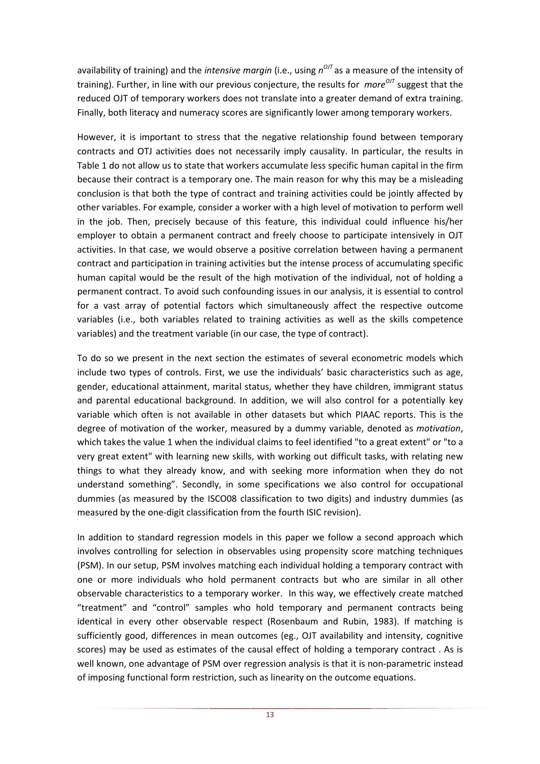availability of training) and the *intensive margin* (i.e., using  $n^{O/I}$  as a measure of the intensity of training). Further, in line with our previous conjecture, the results for *more<sup>OJT</sup>* suggest that the reduced OJT of temporary workers does not translate into a greater demand of extra training. Finally, both literacy and numeracy scores are significantly lower among temporary workers.

However, it is important to stress that the negative relationship found between temporary contracts and OTJ activities does not necessarily imply causality. In particular, the results in Table 1 do not allow us to state that workers accumulate less specific human capital in the firm because their contract is a temporary one. The main reason for why this may be a misleading conclusion is that both the type of contract and training activities could be jointly affected by other variables. For example, consider a worker with a high level of motivation to perform well in the job. Then, precisely because of this feature, this individual could influence his/her employer to obtain a permanent contract and freely choose to participate intensively in OJT activities. In that case, we would observe a positive correlation between having a permanent contract and participation in training activities but the intense process of accumulating specific human capital would be the result of the high motivation of the individual, not of holding a permanent contract. To avoid such confounding issues in our analysis, it is essential to control for a vast array of potential factors which simultaneously affect the respective outcome variables (i.e., both variables related to training activities as well as the skills competence variables) and the treatment variable (in our case, the type of contract).

To do so we present in the next section the estimates of several econometric models which include two types of controls. First, we use the individuals' basic characteristics such as age, gender, educational attainment, marital status, whether they have children, immigrant status and parental educational background. In addition, we will also control for a potentially key variable which often is not available in other datasets but which PIAAC reports. This is the degree of motivation of the worker, measured by a dummy variable, denoted as *motivation*, which takes the value 1 when the individual claims to feel identified "to a great extent" or "to a very great extent" with learning new skills, with working out difficult tasks, with relating new things to what they already know, and with seeking more information when they do not understand something". Secondly, in some specifications we also control for occupational dummies (as measured by the ISCO08 classification to two digits) and industry dummies (as measured by the one-digit classification from the fourth ISIC revision).

In addition to standard regression models in this paper we follow a second approach which involves controlling for selection in observables using propensity score matching techniques (PSM). In our setup, PSM involves matching each individual holding a temporary contract with one or more individuals who hold permanent contracts but who are similar in all other observable characteristics to a temporary worker. In this way, we effectively create matched "treatment" and "control" samples who hold temporary and permanent contracts being identical in every other observable respect (Rosenbaum and Rubin, 1983). If matching is sufficiently good, differences in mean outcomes (eg., OJT availability and intensity, cognitive scores) may be used as estimates of the causal effect of holding a temporary contract . As is well known, one advantage of PSM over regression analysis is that it is non-parametric instead of imposing functional form restriction, such as linearity on the outcome equations.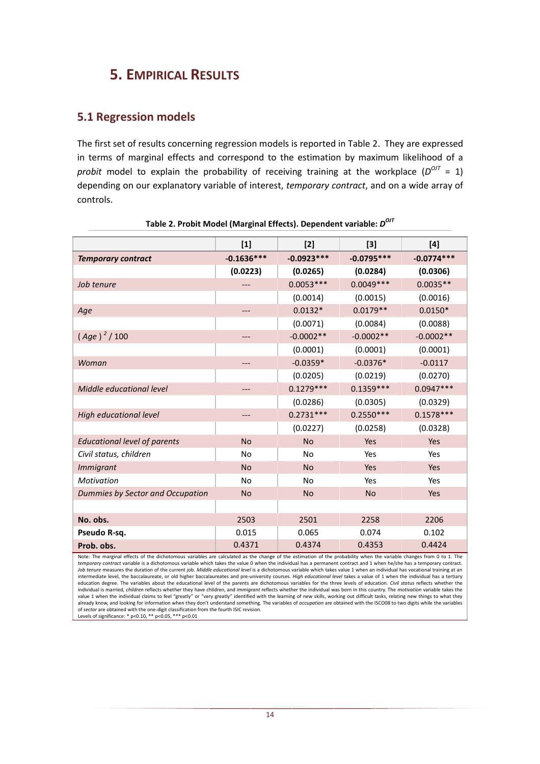## **5. EMPIRICAL RESULTS**

### **5.1 Regression models**

The first set of results concerning regression models is reported in Table 2. They are expressed in terms of marginal effects and correspond to the estimation by maximum likelihood of a probit model to explain the probability of receiving training at the workplace  $(D^{O/I} = 1)$ depending on our explanatory variable of interest, *temporary contract*, and on a wide array of controls.

|                                     | $[1]$        | $[2]$        | $[3]$        | $[4]$        |
|-------------------------------------|--------------|--------------|--------------|--------------|
| <b>Temporary contract</b>           | $-0.1636***$ | $-0.0923***$ | $-0.0795***$ | $-0.0774***$ |
|                                     | (0.0223)     | (0.0265)     | (0.0284)     | (0.0306)     |
| Job tenure                          |              | $0.0053***$  | $0.0049***$  | $0.0035**$   |
|                                     |              | (0.0014)     | (0.0015)     | (0.0016)     |
| Age                                 |              | $0.0132*$    | $0.0179**$   | $0.0150*$    |
|                                     |              | (0.0071)     | (0.0084)     | (0.0088)     |
| $(Age)^{2}/100$                     |              | $-0.0002**$  | $-0.0002**$  | $-0.0002**$  |
|                                     |              | (0.0001)     | (0.0001)     | (0.0001)     |
| Woman                               |              | $-0.0359*$   | $-0.0376*$   | $-0.0117$    |
|                                     |              | (0.0205)     | (0.0219)     | (0.0270)     |
| Middle educational level            | ---          | $0.1279***$  | $0.1359***$  | $0.0947***$  |
|                                     |              | (0.0286)     | (0.0305)     | (0.0329)     |
| High educational level              | ---          | $0.2731***$  | $0.2550***$  | $0.1578***$  |
|                                     |              | (0.0227)     | (0.0258)     | (0.0328)     |
| <b>Educational level of parents</b> | <b>No</b>    | <b>No</b>    | Yes          | Yes          |
| Civil status, children              | No           | No           | Yes          | Yes          |
| <b>Immigrant</b>                    | <b>No</b>    | <b>No</b>    | Yes          | <b>Yes</b>   |
| Motivation                          | No           | <b>No</b>    | Yes          | Yes          |
| Dummies by Sector and Occupation    | <b>No</b>    | <b>No</b>    | <b>No</b>    | Yes          |
|                                     |              |              |              |              |
| No. obs.                            | 2503         | 2501         | 2258         | 2206         |
| Pseudo R-sq.                        | 0.015        | 0.065        | 0.074        | 0.102        |
| Prob. obs.                          | 0.4371       | 0.4374       | 0.4353       | 0.4424       |

**Table 2. Probit Model (Marginal Effects). Dependent variable:** *D OJT* 

Note: The marginal effects of the dichotomous variables are calculated as the change of the estimation of the probability when the variable changes from 0 to 1. The<br>*temporary contract* variable is a dichotomous variable w *Job tenure* measures the duration of the current job. *Middle educational level* is a dichotomous variable which takes value 1 when an individual has vocational training at an intermediate level, the baccalaureate, or old higher baccalaureates and pre-university courses. *High educational level* takes a value of 1 when the individual has a tertiary education degree. The variables about the educational level of the parents are dichotomous variables for the three levels of education. *Civil status* reflects whether the individual is married, children reflects whether they have children, and immigrant reflects whether the individual was born in this country. The motivation variable takes the<br>value 1 when the individual claims to feel "gre already know, and looking for information when they don't understand something. The variables of *occupation* are obtained with the ISCO08 to two digits while the variables of *sector* are obtained with the one-digit classification from the fourth ISIC revision. Levels of significance: \* p<0.10, \*\* p<0.05, \*\*\* p<0.01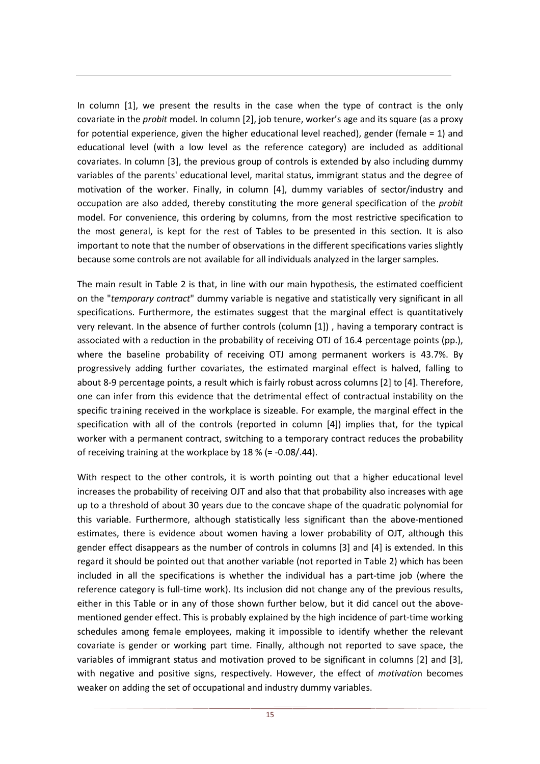In column [1], we present the results in the case when the type of contract is the only covariate in the *probit* model. In column [2], job tenure, worker's age and its square (as a proxy for potential experience, given the higher educational level reached), gender (female = 1) and educational level (with a low level as the reference category) are included as additional covariates. In column [3], the previous group of controls is extended by also including dummy variables of the parents' educational level, marital status, immigrant status and the degree of motivation of the worker. Finally, in column [4], dummy variables of sector/industry and occupation are also added, thereby constituting the more general specification of the *probit* model. For convenience, this ordering by columns, from the most restrictive specification to the most general, is kept for the rest of Tables to be presented in this section. It is also important to note that the number of observations in the different specifications varies slightly because some controls are not available for all individuals analyzed in the larger samples.

The main result in Table 2 is that, in line with our main hypothesis, the estimated coefficient on the "*temporary contract*" dummy variable is negative and statistically very significant in all specifications. Furthermore, the estimates suggest that the marginal effect is quantitatively very relevant. In the absence of further controls (column [1]) , having a temporary contract is associated with a reduction in the probability of receiving OTJ of 16.4 percentage points (pp.), where the baseline probability of receiving OTJ among permanent workers is 43.7%. By progressively adding further covariates, the estimated marginal effect is halved, falling to about 8-9 percentage points, a result which is fairly robust across columns [2] to [4]. Therefore, one can infer from this evidence that the detrimental effect of contractual instability on the specific training received in the workplace is sizeable. For example, the marginal effect in the specification with all of the controls (reported in column [4]) implies that, for the typical worker with a permanent contract, switching to a temporary contract reduces the probability of receiving training at the workplace by 18 % (= -0.08/.44).

With respect to the other controls, it is worth pointing out that a higher educational level increases the probability of receiving OJT and also that that probability also increases with age up to a threshold of about 30 years due to the concave shape of the quadratic polynomial for this variable. Furthermore, although statistically less significant than the above-mentioned estimates, there is evidence about women having a lower probability of OJT, although this gender effect disappears as the number of controls in columns [3] and [4] is extended. In this regard it should be pointed out that another variable (not reported in Table 2) which has been included in all the specifications is whether the individual has a part-time job (where the reference category is full-time work). Its inclusion did not change any of the previous results, either in this Table or in any of those shown further below, but it did cancel out the abovementioned gender effect. This is probably explained by the high incidence of part-time working schedules among female employees, making it impossible to identify whether the relevant covariate is gender or working part time. Finally, although not reported to save space, the variables of immigrant status and motivation proved to be significant in columns [2] and [3], with negative and positive signs, respectively. However, the effect of *motivatio*n becomes weaker on adding the set of occupational and industry dummy variables.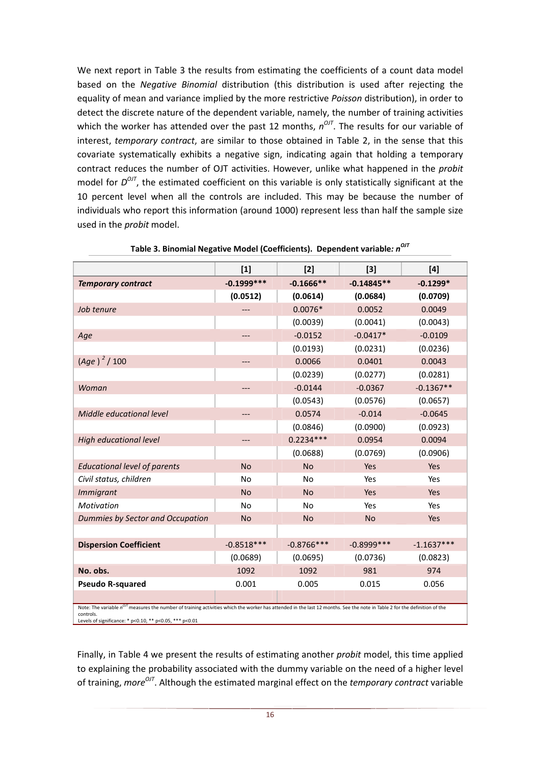We next report in Table 3 the results from estimating the coefficients of a count data model based on the *Negative Binomial* distribution (this distribution is used after rejecting the equality of mean and variance implied by the more restrictive *Poisson* distribution), in order to detect the discrete nature of the dependent variable, namely, the number of training activities which the worker has attended over the past 12 months,  $n^{O/I}$ . The results for our variable of interest, *temporary contract*, are similar to those obtained in Table 2, in the sense that this covariate systematically exhibits a negative sign, indicating again that holding a temporary contract reduces the number of OJT activities. However, unlike what happened in the *probit* model for  $D^{O/I}$ , the estimated coefficient on this variable is only statistically significant at the 10 percent level when all the controls are included. This may be because the number of individuals who report this information (around 1000) represent less than half the sample size used in the *probit* model.

|                                                                                                                                                                                                    | $[1]$        | $[2]$        | $[3]$         | [4]          |  |
|----------------------------------------------------------------------------------------------------------------------------------------------------------------------------------------------------|--------------|--------------|---------------|--------------|--|
| <b>Temporary contract</b>                                                                                                                                                                          | $-0.1999***$ | $-0.1666**$  | $-0.14845**$  | $-0.1299*$   |  |
|                                                                                                                                                                                                    | (0.0512)     | (0.0614)     | (0.0684)      | (0.0709)     |  |
| Job tenure                                                                                                                                                                                         |              | $0.0076*$    | 0.0052        | 0.0049       |  |
|                                                                                                                                                                                                    |              | (0.0039)     | (0.0041)      | (0.0043)     |  |
| Age                                                                                                                                                                                                |              | $-0.0152$    | $-0.0417*$    | $-0.0109$    |  |
|                                                                                                                                                                                                    |              | (0.0193)     | (0.0231)      | (0.0236)     |  |
| $(Age)^2 / 100$                                                                                                                                                                                    | ---          | 0.0066       | 0.0401        | 0.0043       |  |
|                                                                                                                                                                                                    |              | (0.0239)     | (0.0277)      | (0.0281)     |  |
| Woman                                                                                                                                                                                              | ---          | $-0.0144$    | $-0.0367$     | $-0.1367**$  |  |
|                                                                                                                                                                                                    |              | (0.0543)     | (0.0576)      | (0.0657)     |  |
| Middle educational level                                                                                                                                                                           | ---          | 0.0574       | $-0.014$      | $-0.0645$    |  |
|                                                                                                                                                                                                    |              | (0.0846)     | (0.0900)      | (0.0923)     |  |
| <b>High educational level</b>                                                                                                                                                                      |              | $0.2234***$  | 0.0954        | 0.0094       |  |
|                                                                                                                                                                                                    |              | (0.0688)     | (0.0769)      | (0.0906)     |  |
| <b>Educational level of parents</b>                                                                                                                                                                | <b>No</b>    | <b>No</b>    | Yes           | Yes          |  |
| Civil status, children                                                                                                                                                                             | No           | No           | Yes           | Yes          |  |
| <i>Immigrant</i>                                                                                                                                                                                   | <b>No</b>    | <b>No</b>    | Yes           | Yes          |  |
| <b>Motivation</b>                                                                                                                                                                                  | No           | <b>No</b>    | Yes           | Yes          |  |
| Dummies by Sector and Occupation                                                                                                                                                                   | <b>No</b>    | <b>No</b>    | <b>No</b>     | Yes          |  |
|                                                                                                                                                                                                    |              |              |               |              |  |
| <b>Dispersion Coefficient</b>                                                                                                                                                                      | $-0.8518***$ | $-0.8766***$ | $-0.8999$ *** | $-1.1637***$ |  |
|                                                                                                                                                                                                    | (0.0689)     | (0.0695)     | (0.0736)      | (0.0823)     |  |
| No. obs.                                                                                                                                                                                           | 1092         | 1092         | 981           | 974          |  |
| <b>Pseudo R-squared</b>                                                                                                                                                                            | 0.001        | 0.005        | 0.015         | 0.056        |  |
|                                                                                                                                                                                                    |              |              |               |              |  |
| Note: The variable n <sup>orr</sup> measures the number of training activities which the worker has attended in the last 12 months. See the note in Table 2 for the definition of the<br>controls. |              |              |               |              |  |

| Table 3. Binomial Negative Model (Coefficients). Dependent variable: n <sup>OJT</sup> |  |
|---------------------------------------------------------------------------------------|--|
|---------------------------------------------------------------------------------------|--|

Levels of significance: \* p<0.10, \*\* p<0.05, \*\*\* p<0.01

Finally, in Table 4 we present the results of estimating another *probit* model, this time applied to explaining the probability associated with the dummy variable on the need of a higher level of training, *more<sup>OJT</sup>*. Although the estimated marginal effect on the *temporary contract* variable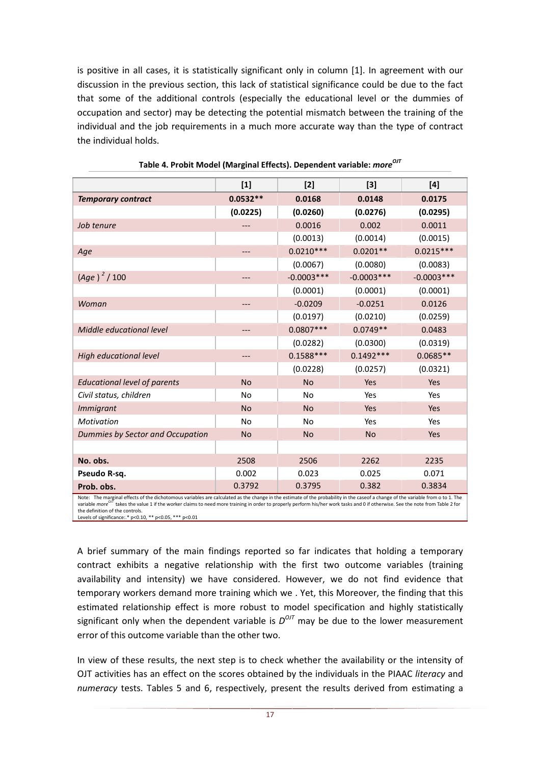is positive in all cases, it is statistically significant only in column [1]. In agreement with our discussion in the previous section, this lack of statistical significance could be due to the fact that some of the additional controls (especially the educational level or the dummies of occupation and sector) may be detecting the potential mismatch between the training of the individual and the job requirements in a much more accurate way than the type of contract the individual holds.

|                                                                                                                                                                                                                                                                                                                                                                                       | $[1]$      | $[2]$        | $[3]$        | [4]          |
|---------------------------------------------------------------------------------------------------------------------------------------------------------------------------------------------------------------------------------------------------------------------------------------------------------------------------------------------------------------------------------------|------------|--------------|--------------|--------------|
| <b>Temporary contract</b>                                                                                                                                                                                                                                                                                                                                                             | $0.0532**$ | 0.0168       | 0.0148       | 0.0175       |
|                                                                                                                                                                                                                                                                                                                                                                                       | (0.0225)   | (0.0260)     | (0.0276)     | (0.0295)     |
| Job tenure                                                                                                                                                                                                                                                                                                                                                                            |            | 0.0016       | 0.002        | 0.0011       |
|                                                                                                                                                                                                                                                                                                                                                                                       |            | (0.0013)     | (0.0014)     | (0.0015)     |
| Age                                                                                                                                                                                                                                                                                                                                                                                   |            | $0.0210***$  | $0.0201**$   | $0.0215***$  |
|                                                                                                                                                                                                                                                                                                                                                                                       |            | (0.0067)     | (0.0080)     | (0.0083)     |
| $(Age)^2 / 100$                                                                                                                                                                                                                                                                                                                                                                       |            | $-0.0003***$ | $-0.0003***$ | $-0.0003***$ |
|                                                                                                                                                                                                                                                                                                                                                                                       |            | (0.0001)     | (0.0001)     | (0.0001)     |
| Woman                                                                                                                                                                                                                                                                                                                                                                                 |            | $-0.0209$    | $-0.0251$    | 0.0126       |
|                                                                                                                                                                                                                                                                                                                                                                                       |            | (0.0197)     | (0.0210)     | (0.0259)     |
| Middle educational level                                                                                                                                                                                                                                                                                                                                                              |            | $0.0807***$  | $0.0749**$   | 0.0483       |
|                                                                                                                                                                                                                                                                                                                                                                                       |            | (0.0282)     | (0.0300)     | (0.0319)     |
| <b>High educational level</b>                                                                                                                                                                                                                                                                                                                                                         |            | $0.1588***$  | $0.1492***$  | $0.0685**$   |
|                                                                                                                                                                                                                                                                                                                                                                                       |            | (0.0228)     | (0.0257)     | (0.0321)     |
| <b>Educational level of parents</b>                                                                                                                                                                                                                                                                                                                                                   | <b>No</b>  | <b>No</b>    | Yes          | Yes          |
| Civil status, children                                                                                                                                                                                                                                                                                                                                                                | <b>No</b>  | <b>No</b>    | Yes          | Yes          |
| <i>Immigrant</i>                                                                                                                                                                                                                                                                                                                                                                      | <b>No</b>  | <b>No</b>    | Yes          | Yes          |
| <b>Motivation</b>                                                                                                                                                                                                                                                                                                                                                                     | <b>No</b>  | <b>No</b>    | Yes          | Yes          |
| Dummies by Sector and Occupation                                                                                                                                                                                                                                                                                                                                                      | <b>No</b>  | <b>No</b>    | <b>No</b>    | Yes          |
|                                                                                                                                                                                                                                                                                                                                                                                       |            |              |              |              |
| No. obs.                                                                                                                                                                                                                                                                                                                                                                              | 2508       | 2506         | 2262         | 2235         |
| Pseudo R-sq.                                                                                                                                                                                                                                                                                                                                                                          | 0.002      | 0.023        | 0.025        | 0.071        |
| Prob. obs.                                                                                                                                                                                                                                                                                                                                                                            | 0.3792     | 0.3795       | 0.382        | 0.3834       |
| Note: The marginal effects of the dichotomous variables are calculated as the change in the estimate of the probability in the caseof a change of the variable from o to 1. The<br>variable <i>more</i> <sup>017</sup> takes the value 1 if the worker claims to need more training in order to properly perform his/her work tasks and 0 if otherwise. See the note from Table 2 for |            |              |              |              |

| Table 4. Probit Model (Marginal Effects). Dependent variable: more <sup>017</sup> |  |  |  |
|-----------------------------------------------------------------------------------|--|--|--|
|-----------------------------------------------------------------------------------|--|--|--|

variable *more OJT* takes the value 1 if the worker claims to need more training in order to properly perform his/her work tasks and 0 if otherwise. See the note from Table 2 for the definition of the controls. Levels of significance:.\* p<0.10, \*\* p<0.05, \*\*\* p<0.01

A brief summary of the main findings reported so far indicates that holding a temporary contract exhibits a negative relationship with the first two outcome variables (training availability and intensity) we have considered. However, we do not find evidence that temporary workers demand more training which we . Yet, this Moreover, the finding that this estimated relationship effect is more robust to model specification and highly statistically significant only when the dependent variable is  $D^{OJT}$  may be due to the lower measurement error of this outcome variable than the other two.

In view of these results, the next step is to check whether the availability or the intensity of OJT activities has an effect on the scores obtained by the individuals in the PIAAC *literacy* and *numeracy* tests. Tables 5 and 6, respectively, present the results derived from estimating a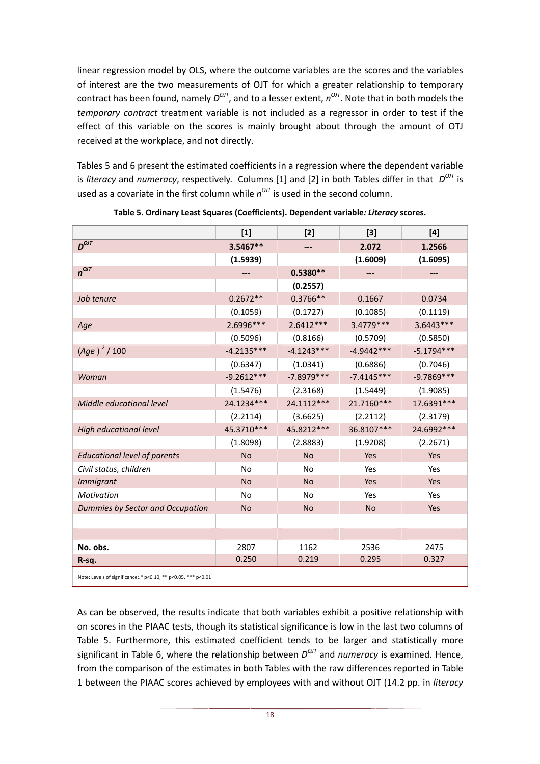linear regression model by OLS, where the outcome variables are the scores and the variables of interest are the two measurements of OJT for which a greater relationship to temporary contract has been found, namely  $D^{O/I}$ , and to a lesser extent,  $n^{O/I}$ . Note that in both models the *temporary contract* treatment variable is not included as a regressor in order to test if the effect of this variable on the scores is mainly brought about through the amount of OTJ received at the workplace, and not directly.

Tables 5 and 6 present the estimated coefficients in a regression where the dependent variable is *literacy* and *numeracy*, respectively. Columns [1] and [2] in both Tables differ in that  $D^{O/I}$  is used as a covariate in the first column while  $n^{OT}$  is used in the second column.

|                                                               | $[1]$        | $[2]$        | $[3]$        | [4]          |
|---------------------------------------------------------------|--------------|--------------|--------------|--------------|
| $D^{OJT}$                                                     | 3.5467**     | ---          | 2.072        | 1.2566       |
|                                                               | (1.5939)     |              | (1.6009)     | (1.6095)     |
| $n^{OJT}$                                                     | $---$        | $0.5380**$   | ---          | ---          |
|                                                               |              | (0.2557)     |              |              |
| Job tenure                                                    | $0.2672**$   | $0.3766**$   | 0.1667       | 0.0734       |
|                                                               | (0.1059)     | (0.1727)     | (0.1085)     | (0.1119)     |
| Age                                                           | 2.6996 ***   | $2.6412***$  | 3.4779 ***   | $3.6443***$  |
|                                                               | (0.5096)     | (0.8166)     | (0.5709)     | (0.5850)     |
| $(Age)^2 / 100$                                               | $-4.2135***$ | $-4.1243***$ | $-4.9442***$ | $-5.1794***$ |
|                                                               | (0.6347)     | (1.0341)     | (0.6886)     | (0.7046)     |
| Woman                                                         | $-9.2612***$ | $-7.8979***$ | $-7.4145***$ | $-9.7869***$ |
|                                                               | (1.5476)     | (2.3168)     | (1.5449)     | (1.9085)     |
| Middle educational level                                      | 24.1234***   | 24.1112***   | 21.7160***   | 17.6391 ***  |
|                                                               | (2.2114)     | (3.6625)     | (2.2112)     | (2.3179)     |
| High educational level                                        | 45.3710***   | 45.8212***   | 36.8107***   | 24.6992 ***  |
|                                                               | (1.8098)     | (2.8883)     | (1.9208)     | (2.2671)     |
| <b>Educational level of parents</b>                           | <b>No</b>    | <b>No</b>    | Yes          | <b>Yes</b>   |
| Civil status, children                                        | No           | No           | Yes          | Yes          |
| <b>Immigrant</b>                                              | <b>No</b>    | <b>No</b>    | Yes          | <b>Yes</b>   |
| <b>Motivation</b>                                             | No           | <b>No</b>    | Yes          | Yes          |
| Dummies by Sector and Occupation                              | <b>No</b>    | <b>No</b>    | <b>No</b>    | Yes          |
|                                                               |              |              |              |              |
|                                                               |              |              |              |              |
| No. obs.                                                      | 2807         | 1162         | 2536         | 2475         |
| R-sq.                                                         | 0.250        | 0.219        | 0.295        | 0.327        |
| Note: Levels of significance:.* p<0.10, ** p<0.05, *** p<0.01 |              |              |              |              |

**Table 5. Ordinary Least Squares (Coefficients). Dependent variable***: Literacy* **scores.** 

As can be observed, the results indicate that both variables exhibit a positive relationship with on scores in the PIAAC tests, though its statistical significance is low in the last two columns of Table 5. Furthermore, this estimated coefficient tends to be larger and statistically more significant in Table 6, where the relationship between  $D^{OJI}$  and *numeracy* is examined. Hence, from the comparison of the estimates in both Tables with the raw differences reported in Table 1 between the PIAAC scores achieved by employees with and without OJT (14.2 pp. in *literacy*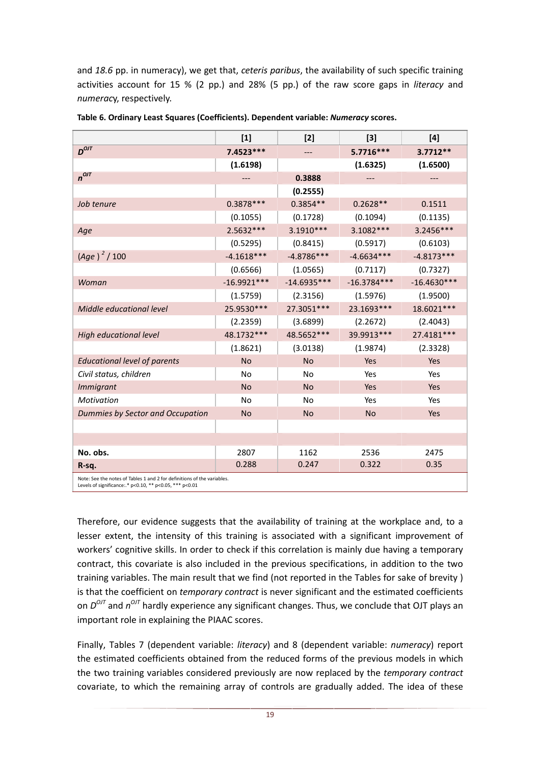and *18.6* pp. in numeracy), we get that, *ceteris paribus*, the availability of such specific training activities account for 15 % (2 pp.) and 28% (5 pp.) of the raw score gaps in *literacy* and *numerac*y, respectively.

|                                                                                                                                    | $[1]$         | $[2]$         | $[3]$         | [4]           |  |
|------------------------------------------------------------------------------------------------------------------------------------|---------------|---------------|---------------|---------------|--|
| $D^{OIT}$                                                                                                                          | 7.4523 ***    |               | 5.7716***     | $3.7712**$    |  |
|                                                                                                                                    | (1.6198)      |               | (1.6325)      | (1.6500)      |  |
| $n^{OJT}$                                                                                                                          |               | 0.3888        |               | ---           |  |
|                                                                                                                                    |               | (0.2555)      |               |               |  |
| Job tenure                                                                                                                         | $0.3878***$   | $0.3854**$    | $0.2628**$    | 0.1511        |  |
|                                                                                                                                    | (0.1055)      | (0.1728)      | (0.1094)      | (0.1135)      |  |
| Age                                                                                                                                | 2.5632 ***    | $3.1910***$   | 3.1082 ***    | 3.2456***     |  |
|                                                                                                                                    | (0.5295)      | (0.8415)      | (0.5917)      | (0.6103)      |  |
| $(Age)^2 / 100$                                                                                                                    | $-4.1618***$  | $-4.8786***$  | $-4.6634***$  | $-4.8173***$  |  |
|                                                                                                                                    | (0.6566)      | (1.0565)      | (0.7117)      | (0.7327)      |  |
| Woman                                                                                                                              | $-16.9921***$ | $-14.6935***$ | $-16.3784***$ | $-16.4630***$ |  |
|                                                                                                                                    | (1.5759)      | (2.3156)      | (1.5976)      | (1.9500)      |  |
| Middle educational level                                                                                                           | 25.9530 ***   | 27.3051***    | 23.1693***    | 18.6021***    |  |
|                                                                                                                                    | (2.2359)      | (3.6899)      | (2.2672)      | (2.4043)      |  |
| High educational level                                                                                                             | 48.1732 ***   | 48.5652***    | 39.9913***    | 27.4181***    |  |
|                                                                                                                                    | (1.8621)      | (3.0138)      | (1.9874)      | (2.3328)      |  |
| <b>Educational level of parents</b>                                                                                                | <b>No</b>     | <b>No</b>     | Yes           | <b>Yes</b>    |  |
| Civil status, children                                                                                                             | No            | No            | Yes           | Yes           |  |
| <b>Immigrant</b>                                                                                                                   | <b>No</b>     | <b>No</b>     | Yes           | Yes           |  |
| Motivation                                                                                                                         | No            | <b>No</b>     | Yes           | Yes           |  |
| Dummies by Sector and Occupation                                                                                                   | <b>No</b>     | <b>No</b>     | <b>No</b>     | Yes           |  |
|                                                                                                                                    |               |               |               |               |  |
|                                                                                                                                    |               |               |               |               |  |
| No. obs.                                                                                                                           | 2807          | 1162          | 2536          | 2475          |  |
| R-sq.                                                                                                                              | 0.288         | 0.247         | 0.322         | 0.35          |  |
| Note: See the notes of Tables 1 and 2 for definitions of the variables.<br>Levels of significance:.* p<0.10, ** p<0.05, *** p<0.01 |               |               |               |               |  |

| Table 6. Ordinary Least Squares (Coefficients). Dependent variable: Numeracy scores. |  |
|--------------------------------------------------------------------------------------|--|
|--------------------------------------------------------------------------------------|--|

Therefore, our evidence suggests that the availability of training at the workplace and, to a lesser extent, the intensity of this training is associated with a significant improvement of workers' cognitive skills. In order to check if this correlation is mainly due having a temporary contract, this covariate is also included in the previous specifications, in addition to the two training variables. The main result that we find (not reported in the Tables for sake of brevity ) is that the coefficient on *temporary contract* is never significant and the estimated coefficients on  $D^{OJI}$  and  $n^{OJI}$  hardly experience any significant changes. Thus, we conclude that OJT plays an important role in explaining the PIAAC scores.

Finally, Tables 7 (dependent variable: *literacy*) and 8 (dependent variable: *numeracy*) report the estimated coefficients obtained from the reduced forms of the previous models in which the two training variables considered previously are now replaced by the *temporary contract* covariate, to which the remaining array of controls are gradually added. The idea of these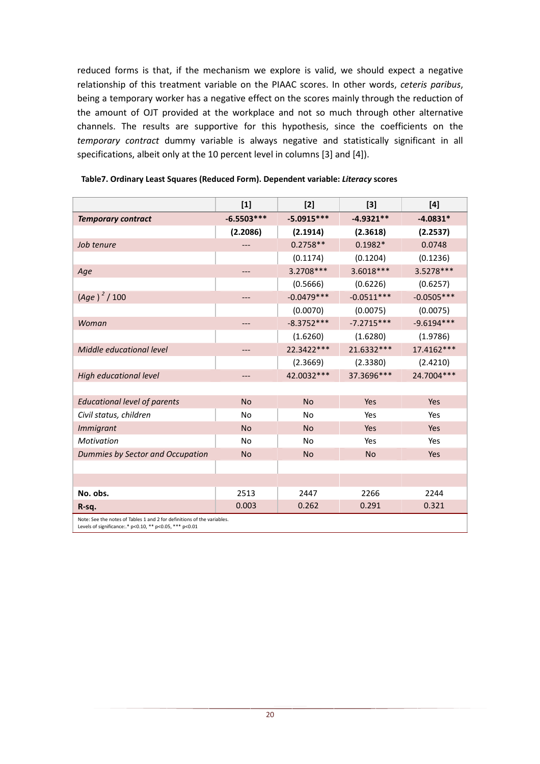reduced forms is that, if the mechanism we explore is valid, we should expect a negative relationship of this treatment variable on the PIAAC scores. In other words, *ceteris paribus*, being a temporary worker has a negative effect on the scores mainly through the reduction of the amount of OJT provided at the workplace and not so much through other alternative channels. The results are supportive for this hypothesis, since the coefficients on the *temporary contract* dummy variable is always negative and statistically significant in all specifications, albeit only at the 10 percent level in columns [3] and [4]).

|                                                                                                                                    | $[1]$        | $[2]$        | $[3]$        | [4]          |
|------------------------------------------------------------------------------------------------------------------------------------|--------------|--------------|--------------|--------------|
| <b>Temporary contract</b>                                                                                                          | $-6.5503***$ | $-5.0915***$ | $-4.9321**$  | $-4.0831*$   |
|                                                                                                                                    | (2.2086)     | (2.1914)     | (2.3618)     | (2.2537)     |
| Job tenure                                                                                                                         |              | $0.2758**$   | $0.1982*$    | 0.0748       |
|                                                                                                                                    |              | (0.1174)     | (0.1204)     | (0.1236)     |
| Age                                                                                                                                | ---          | 3.2708 ***   | $3.6018***$  | 3.5278 ***   |
|                                                                                                                                    |              | (0.5666)     | (0.6226)     | (0.6257)     |
| $(Age)^2 / 100$                                                                                                                    | ---          | $-0.0479***$ | $-0.0511***$ | $-0.0505***$ |
|                                                                                                                                    |              | (0.0070)     | (0.0075)     | (0.0075)     |
| Woman                                                                                                                              | ---          | $-8.3752***$ | $-7.2715***$ | $-9.6194***$ |
|                                                                                                                                    |              | (1.6260)     | (1.6280)     | (1.9786)     |
| Middle educational level                                                                                                           | ---          | 22.3422***   | 21.6332 ***  | 17.4162***   |
|                                                                                                                                    |              | (2.3669)     | (2.3380)     | (2.4210)     |
| <b>High educational level</b>                                                                                                      | ---          | 42.0032 ***  | 37.3696***   | 24.7004 ***  |
|                                                                                                                                    |              |              |              |              |
| <b>Educational level of parents</b>                                                                                                | <b>No</b>    | <b>No</b>    | Yes          | Yes          |
| Civil status, children                                                                                                             | <b>No</b>    | <b>No</b>    | Yes          | Yes          |
| <b>Immigrant</b>                                                                                                                   | <b>No</b>    | <b>No</b>    | Yes          | Yes          |
| Motivation                                                                                                                         | No           | <b>No</b>    | Yes          | Yes          |
| Dummies by Sector and Occupation                                                                                                   | <b>No</b>    | <b>No</b>    | <b>No</b>    | Yes          |
|                                                                                                                                    |              |              |              |              |
|                                                                                                                                    |              |              |              |              |
| No. obs.                                                                                                                           | 2513         | 2447         | 2266         | 2244         |
| R-sq.                                                                                                                              | 0.003        | 0.262        | 0.291        | 0.321        |
| Note: See the notes of Tables 1 and 2 for definitions of the variables.<br>Levels of significance:.* p<0.10, ** p<0.05, *** p<0.01 |              |              |              |              |

#### **Table7. Ordinary Least Squares (Reduced Form). Dependent variable:** *Literacy* **scores**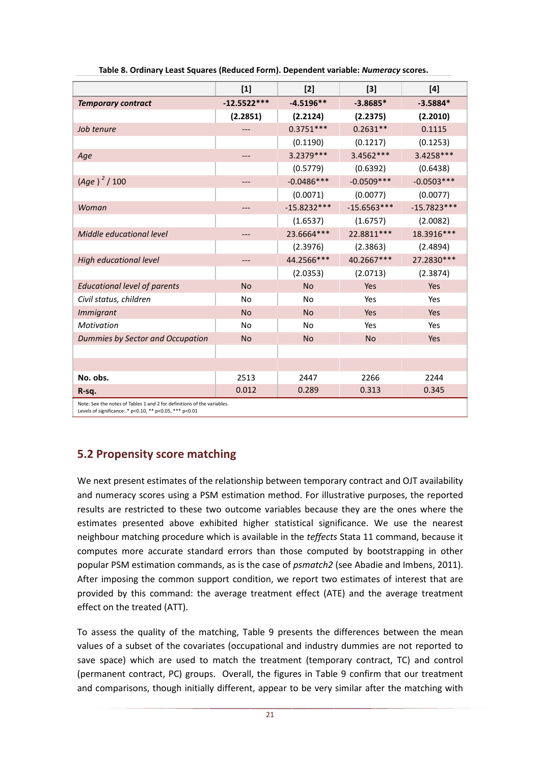|                                                         | $[1]$                                                                   | $[2]$         | $[3]$         | [4]           |  |  |  |
|---------------------------------------------------------|-------------------------------------------------------------------------|---------------|---------------|---------------|--|--|--|
| <b>Temporary contract</b>                               | $-12.5522***$                                                           | $-4.5196**$   | $-3.8685*$    | $-3.5884*$    |  |  |  |
|                                                         | (2.2851)                                                                | (2.2124)      | (2.2375)      | (2.2010)      |  |  |  |
| Job tenure                                              |                                                                         | $0.3751***$   | $0.2631**$    | 0.1115        |  |  |  |
|                                                         |                                                                         | (0.1190)      | (0.1217)      | (0.1253)      |  |  |  |
| Age                                                     | ---                                                                     | 3.2379 ***    | 3.4562 ***    | 3.4258***     |  |  |  |
|                                                         |                                                                         | (0.5779)      | (0.6392)      | (0.6438)      |  |  |  |
| $(Age)^2 / 100$                                         |                                                                         | $-0.0486***$  | $-0.0509***$  | $-0.0503***$  |  |  |  |
|                                                         |                                                                         | (0.0071)      | (0.0077)      | (0.0077)      |  |  |  |
| Woman                                                   | ---                                                                     | $-15.8232***$ | $-15.6563***$ | $-15.7823***$ |  |  |  |
|                                                         |                                                                         | (1.6537)      | (1.6757)      | (2.0082)      |  |  |  |
| Middle educational level                                |                                                                         | 23.6664 ***   | 22.8811 ***   | 18.3916***    |  |  |  |
|                                                         |                                                                         | (2.3976)      | (2.3863)      | (2.4894)      |  |  |  |
| <b>High educational level</b>                           | ---                                                                     | 44.2566***    | 40.2667***    | 27.2830***    |  |  |  |
|                                                         |                                                                         | (2.0353)      | (2.0713)      | (2.3874)      |  |  |  |
| <b>Educational level of parents</b>                     | <b>No</b>                                                               | <b>No</b>     | Yes           | Yes           |  |  |  |
| Civil status, children                                  | No                                                                      | <b>No</b>     | Yes           | Yes           |  |  |  |
| <b>Immigrant</b>                                        | <b>No</b>                                                               | <b>No</b>     | Yes           | Yes           |  |  |  |
| Motivation                                              | No                                                                      | No            | Yes           | Yes           |  |  |  |
| Dummies by Sector and Occupation                        | <b>No</b>                                                               | <b>No</b>     | <b>No</b>     | Yes           |  |  |  |
|                                                         |                                                                         |               |               |               |  |  |  |
|                                                         |                                                                         |               |               |               |  |  |  |
| No. obs.                                                | 2513                                                                    | 2447          | 2266          | 2244          |  |  |  |
| R-sq.                                                   | 0.012                                                                   | 0.289         | 0.313         | 0.345         |  |  |  |
| Levels of significance:.* p<0.10, ** p<0.05, *** p<0.01 | Note: See the notes of Tables 1 and 2 for definitions of the variables. |               |               |               |  |  |  |

**Table 8. Ordinary Least Squares (Reduced Form). Dependent variable:** *Numeracy* **scores.** 

### **5.2 Propensity score matching**

We next present estimates of the relationship between temporary contract and OJT availability and numeracy scores using a PSM estimation method. For illustrative purposes, the reported results are restricted to these two outcome variables because they are the ones where the estimates presented above exhibited higher statistical significance. We use the nearest neighbour matching procedure which is available in the *teffects* Stata 11 command, because it computes more accurate standard errors than those computed by bootstrapping in other popular PSM estimation commands, as is the case of *psmatch2* (see Abadie and Imbens, 2011). After imposing the common support condition, we report two estimates of interest that are provided by this command: the average treatment effect (ATE) and the average treatment effect on the treated (ATT).

To assess the quality of the matching, Table 9 presents the differences between the mean values of a subset of the covariates (occupational and industry dummies are not reported to save space) which are used to match the treatment (temporary contract, TC) and control (permanent contract, PC) groups. Overall, the figures in Table 9 confirm that our treatment and comparisons, though initially different, appear to be very similar after the matching with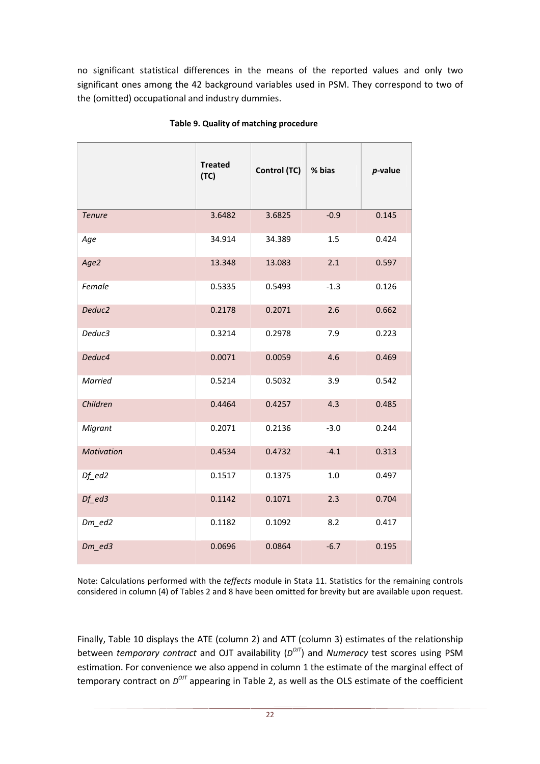no significant statistical differences in the means of the reported values and only two significant ones among the 42 background variables used in PSM. They correspond to two of the (omitted) occupational and industry dummies.

|                                  | <b>Treated</b><br>(TC) | Control (TC) | % bias | $p$ -value |
|----------------------------------|------------------------|--------------|--------|------------|
| <b>Tenure</b>                    | 3.6482                 | 3.6825       | $-0.9$ | 0.145      |
| Age                              | 34.914                 | 34.389       | 1.5    | 0.424      |
| Age2                             | 13.348                 | 13.083       | 2.1    | 0.597      |
| Female                           | 0.5335                 | 0.5493       | $-1.3$ | 0.126      |
| Deduc <sub>2</sub>               | 0.2178                 | 0.2071       | 2.6    | 0.662      |
| Deduc3                           | 0.3214                 | 0.2978       | 7.9    | 0.223      |
| Deduc4                           | 0.0071                 | 0.0059       | 4.6    | 0.469      |
| Married                          | 0.5214                 | 0.5032       | 3.9    | 0.542      |
| Children                         | 0.4464                 | 0.4257       | 4.3    | 0.485      |
| Migrant                          | 0.2071                 | 0.2136       | $-3.0$ | 0.244      |
| <b>Motivation</b>                | 0.4534                 | 0.4732       | $-4.1$ | 0.313      |
| $Df$ <sup><math>ed2</math></sup> | 0.1517                 | 0.1375       | 1.0    | 0.497      |
| $Df$ <sup><math>ed3</math></sup> | 0.1142                 | 0.1071       | 2.3    | 0.704      |
| $Dm$ <sup>ed2</sup>              | 0.1182                 | 0.1092       | 8.2    | 0.417      |
| $Dm$ <sup>ed3</sup>              | 0.0696                 | 0.0864       | $-6.7$ | 0.195      |

### **Table 9. Quality of matching procedure**

Note: Calculations performed with the *teffects* module in Stata 11. Statistics for the remaining controls considered in column (4) of Tables 2 and 8 have been omitted for brevity but are available upon request.

Finally, Table 10 displays the ATE (column 2) and ATT (column 3) estimates of the relationship between *temporary contract* and OJT availability ( $D^{O/J}$ ) and *Numeracy* test scores using PSM estimation. For convenience we also append in column 1 the estimate of the marginal effect of temporary contract on  $D^{OJT}$  appearing in Table 2, as well as the OLS estimate of the coefficient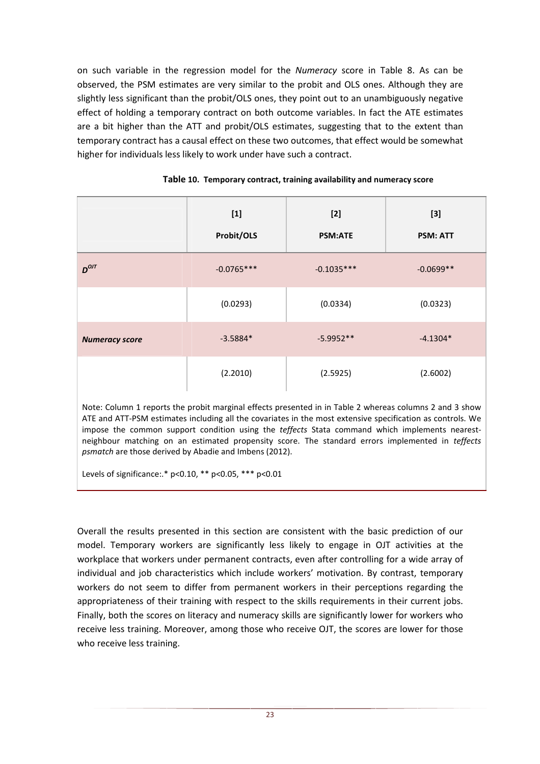on such variable in the regression model for the *Numeracy* score in Table 8. As can be observed, the PSM estimates are very similar to the probit and OLS ones. Although they are slightly less significant than the probit/OLS ones, they point out to an unambiguously negative effect of holding a temporary contract on both outcome variables. In fact the ATE estimates are a bit higher than the ATT and probit/OLS estimates, suggesting that to the extent than temporary contract has a causal effect on these two outcomes, that effect would be somewhat higher for individuals less likely to work under have such a contract.

|                       | $[1]$<br>Probit/OLS | $[2]$<br><b>PSM:ATE</b> | $[3]$<br><b>PSM: ATT</b> |
|-----------------------|---------------------|-------------------------|--------------------------|
| $D^{OJT}$             | $-0.0765***$        | $-0.1035***$            | $-0.0699**$              |
|                       | (0.0293)            | (0.0334)                | (0.0323)                 |
| <b>Numeracy score</b> | $-3.5884*$          | $-5.9952**$             | $-4.1304*$               |
|                       | (2.2010)            | (2.5925)                | (2.6002)                 |

|  | Table 10. Temporary contract, training availability and numeracy score |  |
|--|------------------------------------------------------------------------|--|
|--|------------------------------------------------------------------------|--|

Note: Column 1 reports the probit marginal effects presented in in Table 2 whereas columns 2 and 3 show ATE and ATT-PSM estimates including all the covariates in the most extensive specification as controls. We impose the common support condition using the *teffects* Stata command which implements nearestneighbour matching on an estimated propensity score. The standard errors implemented in *teffects psmatch* are those derived by Abadie and Imbens (2012).

Levels of significance:.\* p<0.10, \*\* p<0.05, \*\*\* p<0.01

Overall the results presented in this section are consistent with the basic prediction of our model. Temporary workers are significantly less likely to engage in OJT activities at the workplace that workers under permanent contracts, even after controlling for a wide array of individual and job characteristics which include workers' motivation. By contrast, temporary workers do not seem to differ from permanent workers in their perceptions regarding the appropriateness of their training with respect to the skills requirements in their current jobs. Finally, both the scores on literacy and numeracy skills are significantly lower for workers who receive less training. Moreover, among those who receive OJT, the scores are lower for those who receive less training.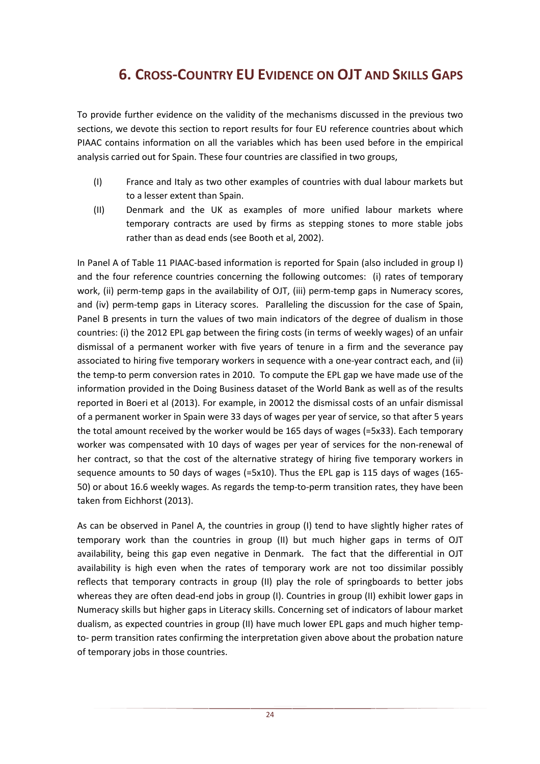## **6. CROSS-COUNTRY EU EVIDENCE ON OJT AND SKILLS GAPS**

To provide further evidence on the validity of the mechanisms discussed in the previous two sections, we devote this section to report results for four EU reference countries about which PIAAC contains information on all the variables which has been used before in the empirical analysis carried out for Spain. These four countries are classified in two groups,

- (I) France and Italy as two other examples of countries with dual labour markets but to a lesser extent than Spain.
- (II) Denmark and the UK as examples of more unified labour markets where temporary contracts are used by firms as stepping stones to more stable jobs rather than as dead ends (see Booth et al, 2002).

In Panel A of Table 11 PIAAC-based information is reported for Spain (also included in group I) and the four reference countries concerning the following outcomes: (i) rates of temporary work, (ii) perm-temp gaps in the availability of OJT, (iii) perm-temp gaps in Numeracy scores, and (iv) perm-temp gaps in Literacy scores. Paralleling the discussion for the case of Spain, Panel B presents in turn the values of two main indicators of the degree of dualism in those countries: (i) the 2012 EPL gap between the firing costs (in terms of weekly wages) of an unfair dismissal of a permanent worker with five years of tenure in a firm and the severance pay associated to hiring five temporary workers in sequence with a one-year contract each, and (ii) the temp-to perm conversion rates in 2010. To compute the EPL gap we have made use of the information provided in the Doing Business dataset of the World Bank as well as of the results reported in Boeri et al (2013). For example, in 20012 the dismissal costs of an unfair dismissal of a permanent worker in Spain were 33 days of wages per year of service, so that after 5 years the total amount received by the worker would be 165 days of wages (=5x33). Each temporary worker was compensated with 10 days of wages per year of services for the non-renewal of her contract, so that the cost of the alternative strategy of hiring five temporary workers in sequence amounts to 50 days of wages (=5x10). Thus the EPL gap is 115 days of wages (165- 50) or about 16.6 weekly wages. As regards the temp-to-perm transition rates, they have been taken from Eichhorst (2013).

As can be observed in Panel A, the countries in group (I) tend to have slightly higher rates of temporary work than the countries in group (II) but much higher gaps in terms of OJT availability, being this gap even negative in Denmark. The fact that the differential in OJT availability is high even when the rates of temporary work are not too dissimilar possibly reflects that temporary contracts in group (II) play the role of springboards to better jobs whereas they are often dead-end jobs in group (I). Countries in group (II) exhibit lower gaps in Numeracy skills but higher gaps in Literacy skills. Concerning set of indicators of labour market dualism, as expected countries in group (II) have much lower EPL gaps and much higher tempto- perm transition rates confirming the interpretation given above about the probation nature of temporary jobs in those countries.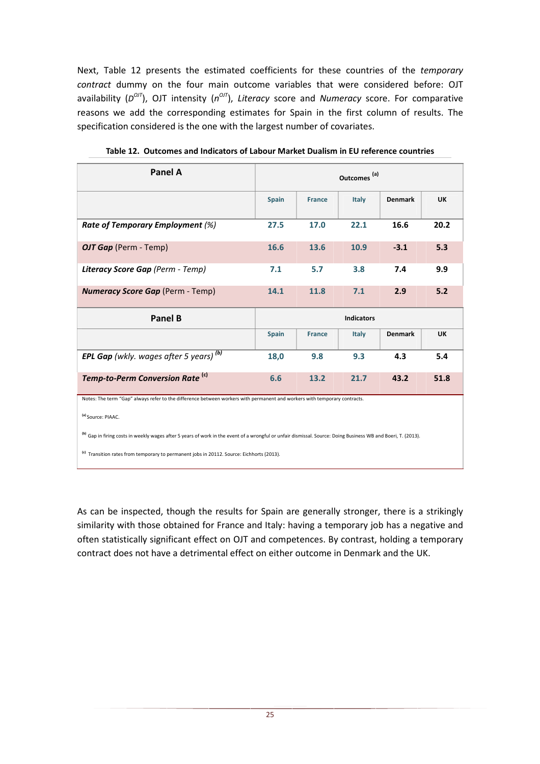Next, Table 12 presents the estimated coefficients for these countries of the *temporary contract* dummy on the four main outcome variables that were considered before: OJT availability (*D<sup>OIT</sup>*), OJT intensity (*n<sup>OIT</sup>*), Literacy score and *Numeracy* score. For comparative reasons we add the corresponding estimates for Spain in the first column of results. The specification considered is the one with the largest number of covariates.

| <b>Panel A</b>                                                                                                                                                           | Outcomes <sup>(a)</sup> |               |       |                |           |
|--------------------------------------------------------------------------------------------------------------------------------------------------------------------------|-------------------------|---------------|-------|----------------|-----------|
|                                                                                                                                                                          | <b>Spain</b>            | <b>France</b> | Italy | <b>Denmark</b> | <b>UK</b> |
| <b>Rate of Temporary Employment (%)</b>                                                                                                                                  | 27.5                    | 17.0          | 22.1  | 16.6           | 20.2      |
| OJT Gap (Perm - Temp)                                                                                                                                                    | 16.6                    | 13.6          | 10.9  | $-3.1$         | 5.3       |
| Literacy Score Gap (Perm - Temp)                                                                                                                                         | 7.1                     | 5.7           | 3.8   | 7.4            | 9.9       |
| <b>Numeracy Score Gap (Perm - Temp)</b>                                                                                                                                  | 14.1                    | 11.8          | 7.1   | 2.9            | 5.2       |
|                                                                                                                                                                          | <b>Indicators</b>       |               |       |                |           |
| <b>Panel B</b>                                                                                                                                                           |                         |               |       |                |           |
|                                                                                                                                                                          | <b>Spain</b>            | <b>France</b> | Italy | <b>Denmark</b> | <b>UK</b> |
| <b>EPL Gap</b> (wkly. wages after 5 years) $(b)$                                                                                                                         | 18,0                    | 9.8           | 9.3   | 4.3            | 5.4       |
| Temp-to-Perm Conversion Rate <sup>(c)</sup>                                                                                                                              | 6.6                     | 13.2          | 21.7  | 43.2           | 51.8      |
| Notes: The term "Gap" always refer to the difference between workers with permanent and workers with temporary contracts.                                                |                         |               |       |                |           |
| (a) Source: PIAAC.                                                                                                                                                       |                         |               |       |                |           |
| <sup>(b)</sup> Gap in firing costs in weekly wages after 5 years of work in the event of a wrongful or unfair dismissal. Source: Doing Business WB and Boeri, T. (2013). |                         |               |       |                |           |

**Table 12. Outcomes and Indicators of Labour Market Dualism in EU reference countries** 

As can be inspected, though the results for Spain are generally stronger, there is a strikingly similarity with those obtained for France and Italy: having a temporary job has a negative and often statistically significant effect on OJT and competences. By contrast, holding a temporary contract does not have a detrimental effect on either outcome in Denmark and the UK.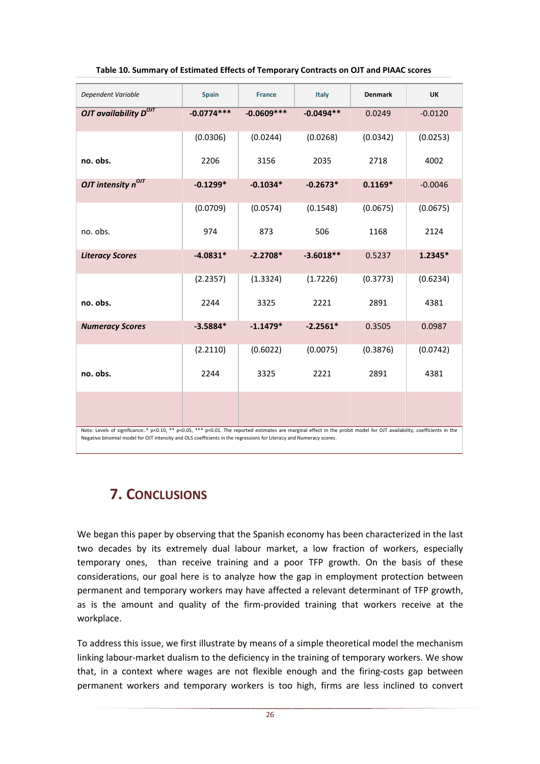| Dependent Variable                                                                                                                                                                                                                                                                             | <b>Spain</b> | <b>France</b> | Italy       | <b>Denmark</b> | <b>UK</b> |  |
|------------------------------------------------------------------------------------------------------------------------------------------------------------------------------------------------------------------------------------------------------------------------------------------------|--------------|---------------|-------------|----------------|-----------|--|
| OJT availability $D^{OIT}$                                                                                                                                                                                                                                                                     | $-0.0774***$ | $-0.0609***$  | $-0.0494**$ | 0.0249         | $-0.0120$ |  |
|                                                                                                                                                                                                                                                                                                | (0.0306)     | (0.0244)      | (0.0268)    | (0.0342)       | (0.0253)  |  |
| no. obs.                                                                                                                                                                                                                                                                                       | 2206         | 3156          | 2035        | 2718           | 4002      |  |
| OJT intensity $n^{OIT}$                                                                                                                                                                                                                                                                        | $-0.1299*$   | $-0.1034*$    | $-0.2673*$  | $0.1169*$      | $-0.0046$ |  |
|                                                                                                                                                                                                                                                                                                | (0.0709)     | (0.0574)      | (0.1548)    | (0.0675)       | (0.0675)  |  |
| no. obs.                                                                                                                                                                                                                                                                                       | 974          | 873           | 506         | 1168           | 2124      |  |
| <b>Literacy Scores</b>                                                                                                                                                                                                                                                                         | $-4.0831*$   | $-2.2708*$    | $-3.6018**$ | 0.5237         | 1.2345*   |  |
|                                                                                                                                                                                                                                                                                                | (2.2357)     | (1.3324)      | (1.7226)    | (0.3773)       | (0.6234)  |  |
| no. obs.                                                                                                                                                                                                                                                                                       | 2244         | 3325          | 2221        | 2891           | 4381      |  |
| <b>Numeracy Scores</b>                                                                                                                                                                                                                                                                         | $-3.5884*$   | $-1.1479*$    | $-2.2561*$  | 0.3505         | 0.0987    |  |
|                                                                                                                                                                                                                                                                                                | (2.2110)     | (0.6022)      | (0.0075)    | (0.3876)       | (0.0742)  |  |
| no. obs.                                                                                                                                                                                                                                                                                       | 2244         | 3325          | 2221        | 2891           | 4381      |  |
|                                                                                                                                                                                                                                                                                                |              |               |             |                |           |  |
| Note: Levels of significance: * p<0.10, ** p<0.05, *** p<0.01. The reported estimates are marginal effect in the probit model for OJT availability, coefficients in the<br>Negative binomial model for OJT intensity and OLS coefficients in the regressions for Literacy and Numeracy scores. |              |               |             |                |           |  |

#### **Table 10. Summary of Estimated Effects of Temporary Contracts on OJT and PIAAC scores**

## **7. CONCLUSIONS**

We began this paper by observing that the Spanish economy has been characterized in the last two decades by its extremely dual labour market, a low fraction of workers, especially temporary ones, than receive training and a poor TFP growth. On the basis of these considerations, our goal here is to analyze how the gap in employment protection between permanent and temporary workers may have affected a relevant determinant of TFP growth, as is the amount and quality of the firm-provided training that workers receive at the workplace.

To address this issue, we first illustrate by means of a simple theoretical model the mechanism linking labour-market dualism to the deficiency in the training of temporary workers. We show that, in a context where wages are not flexible enough and the firing-costs gap between permanent workers and temporary workers is too high, firms are less inclined to convert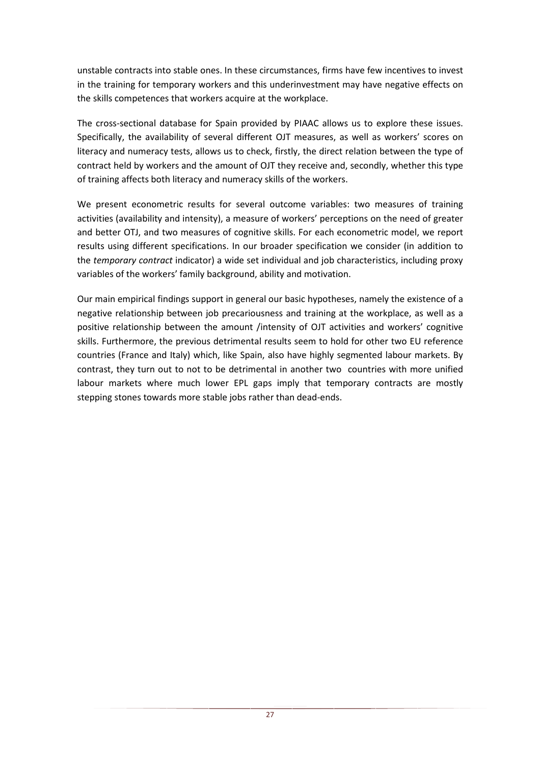unstable contracts into stable ones. In these circumstances, firms have few incentives to invest in the training for temporary workers and this underinvestment may have negative effects on the skills competences that workers acquire at the workplace.

The cross-sectional database for Spain provided by PIAAC allows us to explore these issues. Specifically, the availability of several different OJT measures, as well as workers' scores on literacy and numeracy tests, allows us to check, firstly, the direct relation between the type of contract held by workers and the amount of OJT they receive and, secondly, whether this type of training affects both literacy and numeracy skills of the workers.

We present econometric results for several outcome variables: two measures of training activities (availability and intensity), a measure of workers' perceptions on the need of greater and better OTJ, and two measures of cognitive skills. For each econometric model, we report results using different specifications. In our broader specification we consider (in addition to the *temporary contract* indicator) a wide set individual and job characteristics, including proxy variables of the workers' family background, ability and motivation.

Our main empirical findings support in general our basic hypotheses, namely the existence of a negative relationship between job precariousness and training at the workplace, as well as a positive relationship between the amount /intensity of OJT activities and workers' cognitive skills. Furthermore, the previous detrimental results seem to hold for other two EU reference countries (France and Italy) which, like Spain, also have highly segmented labour markets. By contrast, they turn out to not to be detrimental in another two countries with more unified labour markets where much lower EPL gaps imply that temporary contracts are mostly stepping stones towards more stable jobs rather than dead-ends.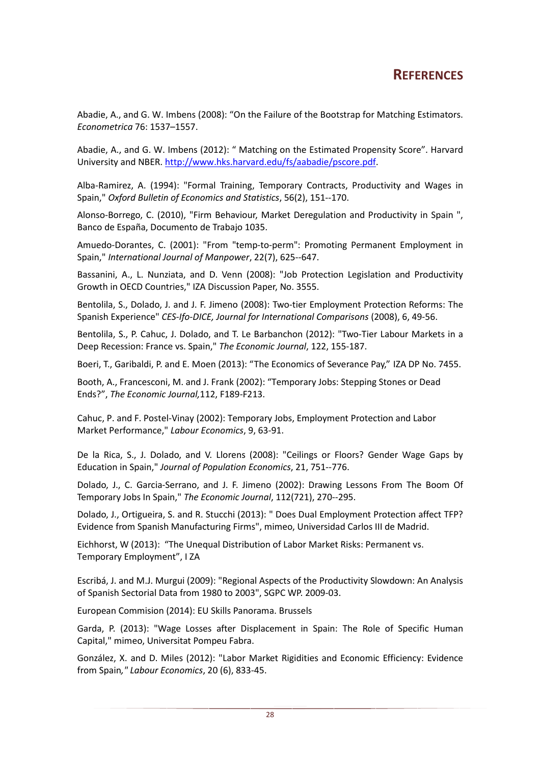## **REFERENCES**

Abadie, A., and G. W. Imbens (2008): "On the Failure of the Bootstrap for Matching Estimators. *Econometrica* 76: 1537–1557.

Abadie, A., and G. W. Imbens (2012): " Matching on the Estimated Propensity Score". Harvard University and NBER. http://www.hks.harvard.edu/fs/aabadie/pscore.pdf.

Alba-Ramirez, A. (1994): "Formal Training, Temporary Contracts, Productivity and Wages in Spain," *Oxford Bulletin of Economics and Statistics*, 56(2), 151--170.

Alonso-Borrego, C. (2010), "Firm Behaviour, Market Deregulation and Productivity in Spain ", Banco de España, Documento de Trabajo 1035.

Amuedo-Dorantes, C. (2001): "From "temp-to-perm": Promoting Permanent Employment in Spain," *International Journal of Manpower*, 22(7), 625--647.

Bassanini, A., L. Nunziata, and D. Venn (2008): "Job Protection Legislation and Productivity Growth in OECD Countries," IZA Discussion Paper, No. 3555.

Bentolila, S., Dolado, J. and J. F. Jimeno (2008): Two-tier Employment Protection Reforms: The Spanish Experience" *CES-Ifo-DICE, Journal for International Comparisons* (2008), 6, 49-56.

Bentolila, S., P. Cahuc, J. Dolado, and T. Le Barbanchon (2012): "Two-Tier Labour Markets in a Deep Recession: France vs. Spain," *The Economic Journal*, 122, 155-187.

Boeri, T., Garibaldi, P. and E. Moen (2013): "The Economics of Severance Pay," IZA DP No. 7455.

Booth, A., Francesconi, M. and J. Frank (2002): "Temporary Jobs: Stepping Stones or Dead Ends?", *The Economic Journal,*112, F189-F213.

Cahuc, P. and F. Postel-Vinay (2002): Temporary Jobs, Employment Protection and Labor Market Performance," *Labour Economics*, 9, 63-91.

De la Rica, S., J. Dolado, and V. Llorens (2008): "Ceilings or Floors? Gender Wage Gaps by Education in Spain," *Journal of Population Economics*, 21, 751--776.

Dolado, J., C. Garcia-Serrano, and J. F. Jimeno (2002): Drawing Lessons From The Boom Of Temporary Jobs In Spain," *The Economic Journal*, 112(721), 270--295.

Dolado, J., Ortigueira, S. and R. Stucchi (2013): " Does Dual Employment Protection affect TFP? Evidence from Spanish Manufacturing Firms", mimeo, Universidad Carlos III de Madrid.

Eichhorst, W (2013): "The Unequal Distribution of Labor Market Risks: Permanent vs. Temporary Employment", I ZA

Escribá, J. and M.J. Murgui (2009): "Regional Aspects of the Productivity Slowdown: An Analysis of Spanish Sectorial Data from 1980 to 2003", SGPC WP. 2009-03.

European Commision (2014): EU Skills Panorama. Brussels

Garda, P. (2013): "Wage Losses after Displacement in Spain: The Role of Specific Human Capital," mimeo, Universitat Pompeu Fabra.

González, X. and D. Miles (2012): "Labor Market Rigidities and Economic Efficiency: Evidence from Spain*," Labour Economics*, 20 (6), 833-45.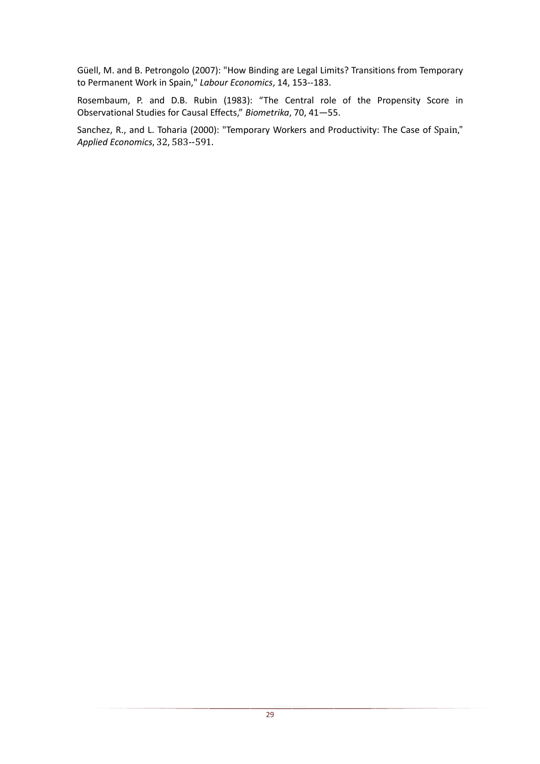Güell, M. and B. Petrongolo (2007): "How Binding are Legal Limits? Transitions from Temporary to Permanent Work in Spain," *Labour Economics*, 14, 153--183.

Rosembaum, P. and D.B. Rubin (1983): "The Central role of the Propensity Score in Observational Studies for Causal Effects," *Biometrika*, 70, 41—55.

Sanchez, R., and L. Toharia (2000): "Temporary Workers and Productivity: The Case of Spain," *Applied Economics*, 32, 583--591.